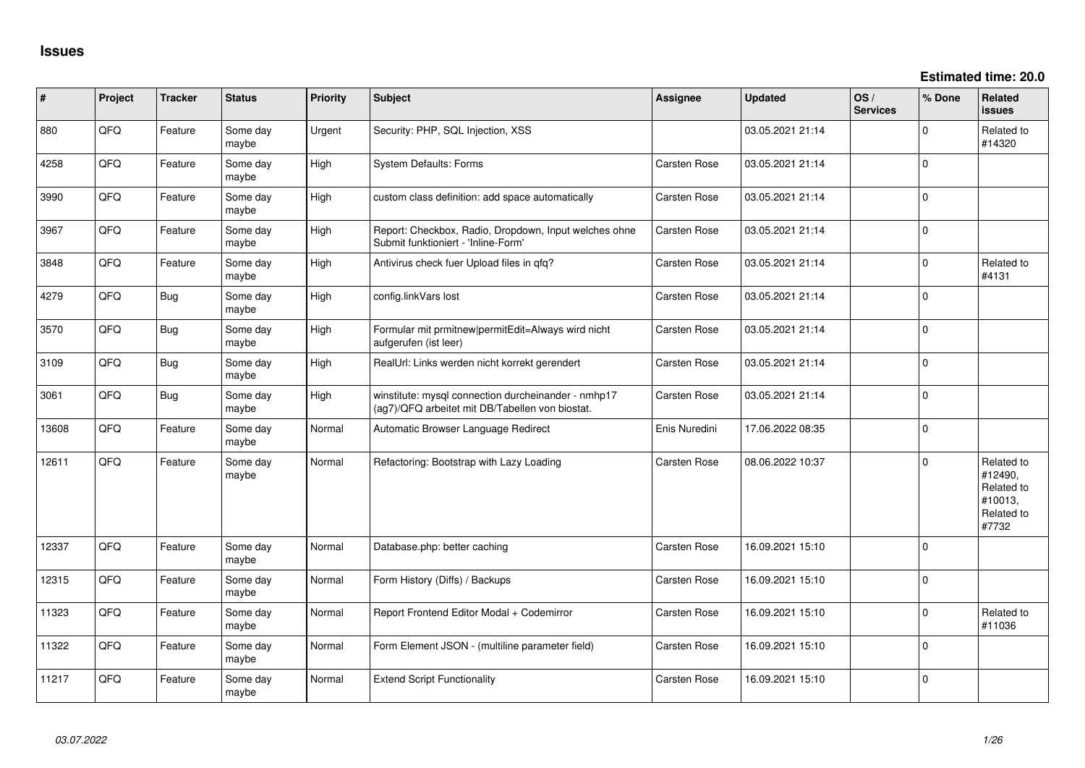**Estimated time: 20.0**

| #     | Project | <b>Tracker</b> | <b>Status</b>     | <b>Priority</b> | Subject                                                                                                | <b>Assignee</b>     | <b>Updated</b>   | OS/<br><b>Services</b> | % Done      | Related<br><b>issues</b>                                              |
|-------|---------|----------------|-------------------|-----------------|--------------------------------------------------------------------------------------------------------|---------------------|------------------|------------------------|-------------|-----------------------------------------------------------------------|
| 880   | QFQ     | Feature        | Some day<br>maybe | Urgent          | Security: PHP, SQL Injection, XSS                                                                      |                     | 03.05.2021 21:14 |                        | $\Omega$    | Related to<br>#14320                                                  |
| 4258  | QFQ     | Feature        | Some day<br>maybe | High            | System Defaults: Forms                                                                                 | Carsten Rose        | 03.05.2021 21:14 |                        | $\mathbf 0$ |                                                                       |
| 3990  | QFQ     | Feature        | Some day<br>maybe | High            | custom class definition: add space automatically                                                       | Carsten Rose        | 03.05.2021 21:14 |                        | $\pmb{0}$   |                                                                       |
| 3967  | QFQ     | Feature        | Some day<br>maybe | High            | Report: Checkbox, Radio, Dropdown, Input welches ohne<br>Submit funktioniert - 'Inline-Form'           | Carsten Rose        | 03.05.2021 21:14 |                        | $\mathbf 0$ |                                                                       |
| 3848  | QFQ     | Feature        | Some day<br>maybe | High            | Antivirus check fuer Upload files in qfq?                                                              | Carsten Rose        | 03.05.2021 21:14 |                        | $\mathbf 0$ | Related to<br>#4131                                                   |
| 4279  | QFQ     | <b>Bug</b>     | Some day<br>maybe | High            | config.linkVars lost                                                                                   | Carsten Rose        | 03.05.2021 21:14 |                        | $\mathbf 0$ |                                                                       |
| 3570  | QFQ     | <b>Bug</b>     | Some day<br>maybe | High            | Formular mit prmitnew permitEdit=Always wird nicht<br>aufgerufen (ist leer)                            | Carsten Rose        | 03.05.2021 21:14 |                        | $\mathbf 0$ |                                                                       |
| 3109  | QFQ     | Bug            | Some day<br>maybe | High            | RealUrl: Links werden nicht korrekt gerendert                                                          | <b>Carsten Rose</b> | 03.05.2021 21:14 |                        | $\pmb{0}$   |                                                                       |
| 3061  | QFQ     | <b>Bug</b>     | Some day<br>maybe | High            | winstitute: mysql connection durcheinander - nmhp17<br>(ag7)/QFQ arbeitet mit DB/Tabellen von biostat. | Carsten Rose        | 03.05.2021 21:14 |                        | $\pmb{0}$   |                                                                       |
| 13608 | QFQ     | Feature        | Some day<br>maybe | Normal          | Automatic Browser Language Redirect                                                                    | Enis Nuredini       | 17.06.2022 08:35 |                        | $\mathbf 0$ |                                                                       |
| 12611 | QFQ     | Feature        | Some day<br>maybe | Normal          | Refactoring: Bootstrap with Lazy Loading                                                               | <b>Carsten Rose</b> | 08.06.2022 10:37 |                        | $\mathbf 0$ | Related to<br>#12490,<br>Related to<br>#10013,<br>Related to<br>#7732 |
| 12337 | QFQ     | Feature        | Some day<br>maybe | Normal          | Database.php: better caching                                                                           | <b>Carsten Rose</b> | 16.09.2021 15:10 |                        | $\mathbf 0$ |                                                                       |
| 12315 | QFQ     | Feature        | Some day<br>maybe | Normal          | Form History (Diffs) / Backups                                                                         | Carsten Rose        | 16.09.2021 15:10 |                        | $\mathbf 0$ |                                                                       |
| 11323 | QFQ     | Feature        | Some day<br>maybe | Normal          | Report Frontend Editor Modal + Codemirror                                                              | Carsten Rose        | 16.09.2021 15:10 |                        | $\pmb{0}$   | Related to<br>#11036                                                  |
| 11322 | QFQ     | Feature        | Some day<br>maybe | Normal          | Form Element JSON - (multiline parameter field)                                                        | Carsten Rose        | 16.09.2021 15:10 |                        | $\Omega$    |                                                                       |
| 11217 | QFQ     | Feature        | Some day<br>maybe | Normal          | <b>Extend Script Functionality</b>                                                                     | Carsten Rose        | 16.09.2021 15:10 |                        | $\Omega$    |                                                                       |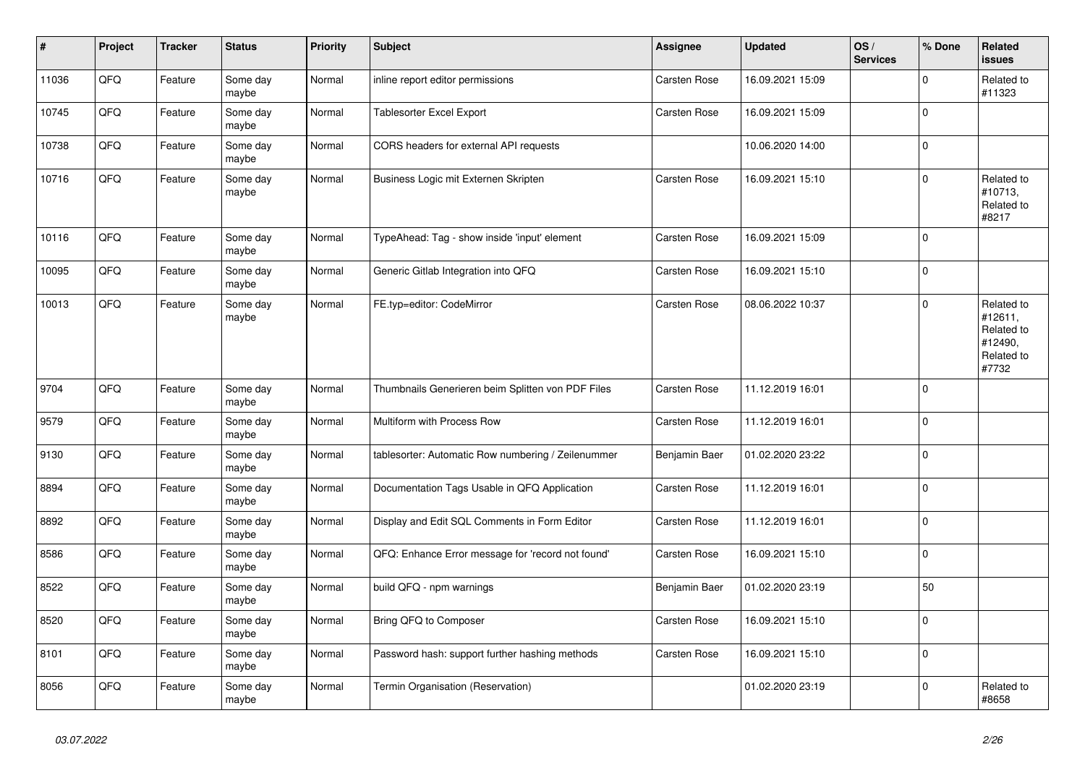| $\vert$ # | Project | <b>Tracker</b> | <b>Status</b>     | <b>Priority</b> | <b>Subject</b>                                     | <b>Assignee</b> | <b>Updated</b>   | OS/<br><b>Services</b> | % Done      | Related<br>issues                                                     |
|-----------|---------|----------------|-------------------|-----------------|----------------------------------------------------|-----------------|------------------|------------------------|-------------|-----------------------------------------------------------------------|
| 11036     | QFQ     | Feature        | Some day<br>maybe | Normal          | inline report editor permissions                   | Carsten Rose    | 16.09.2021 15:09 |                        | $\Omega$    | Related to<br>#11323                                                  |
| 10745     | QFQ     | Feature        | Some day<br>maybe | Normal          | <b>Tablesorter Excel Export</b>                    | Carsten Rose    | 16.09.2021 15:09 |                        | $\pmb{0}$   |                                                                       |
| 10738     | QFQ     | Feature        | Some day<br>maybe | Normal          | CORS headers for external API requests             |                 | 10.06.2020 14:00 |                        | $\mathbf 0$ |                                                                       |
| 10716     | QFQ     | Feature        | Some day<br>maybe | Normal          | Business Logic mit Externen Skripten               | Carsten Rose    | 16.09.2021 15:10 |                        | $\mathbf 0$ | Related to<br>#10713,<br>Related to<br>#8217                          |
| 10116     | QFQ     | Feature        | Some day<br>maybe | Normal          | TypeAhead: Tag - show inside 'input' element       | Carsten Rose    | 16.09.2021 15:09 |                        | $\pmb{0}$   |                                                                       |
| 10095     | QFQ     | Feature        | Some day<br>maybe | Normal          | Generic Gitlab Integration into QFQ                | Carsten Rose    | 16.09.2021 15:10 |                        | $\mathbf 0$ |                                                                       |
| 10013     | QFQ     | Feature        | Some day<br>maybe | Normal          | FE.typ=editor: CodeMirror                          | Carsten Rose    | 08.06.2022 10:37 |                        | $\Omega$    | Related to<br>#12611,<br>Related to<br>#12490,<br>Related to<br>#7732 |
| 9704      | QFQ     | Feature        | Some day<br>maybe | Normal          | Thumbnails Generieren beim Splitten von PDF Files  | Carsten Rose    | 11.12.2019 16:01 |                        | $\Omega$    |                                                                       |
| 9579      | QFQ     | Feature        | Some day<br>maybe | Normal          | Multiform with Process Row                         | Carsten Rose    | 11.12.2019 16:01 |                        | $\Omega$    |                                                                       |
| 9130      | QFQ     | Feature        | Some day<br>maybe | Normal          | tablesorter: Automatic Row numbering / Zeilenummer | Benjamin Baer   | 01.02.2020 23:22 |                        | $\pmb{0}$   |                                                                       |
| 8894      | QFQ     | Feature        | Some day<br>maybe | Normal          | Documentation Tags Usable in QFQ Application       | Carsten Rose    | 11.12.2019 16:01 |                        | $\mathbf 0$ |                                                                       |
| 8892      | QFQ     | Feature        | Some day<br>maybe | Normal          | Display and Edit SQL Comments in Form Editor       | Carsten Rose    | 11.12.2019 16:01 |                        | $\pmb{0}$   |                                                                       |
| 8586      | QFQ     | Feature        | Some day<br>maybe | Normal          | QFQ: Enhance Error message for 'record not found'  | Carsten Rose    | 16.09.2021 15:10 |                        | $\mathbf 0$ |                                                                       |
| 8522      | QFQ     | Feature        | Some day<br>maybe | Normal          | build QFQ - npm warnings                           | Benjamin Baer   | 01.02.2020 23:19 |                        | 50          |                                                                       |
| 8520      | QFQ     | Feature        | Some day<br>maybe | Normal          | Bring QFQ to Composer                              | Carsten Rose    | 16.09.2021 15:10 |                        | $\mathbf 0$ |                                                                       |
| 8101      | QFQ     | Feature        | Some day<br>maybe | Normal          | Password hash: support further hashing methods     | Carsten Rose    | 16.09.2021 15:10 |                        | $\mathbf 0$ |                                                                       |
| 8056      | QFQ     | Feature        | Some day<br>maybe | Normal          | Termin Organisation (Reservation)                  |                 | 01.02.2020 23:19 |                        | $\Omega$    | Related to<br>#8658                                                   |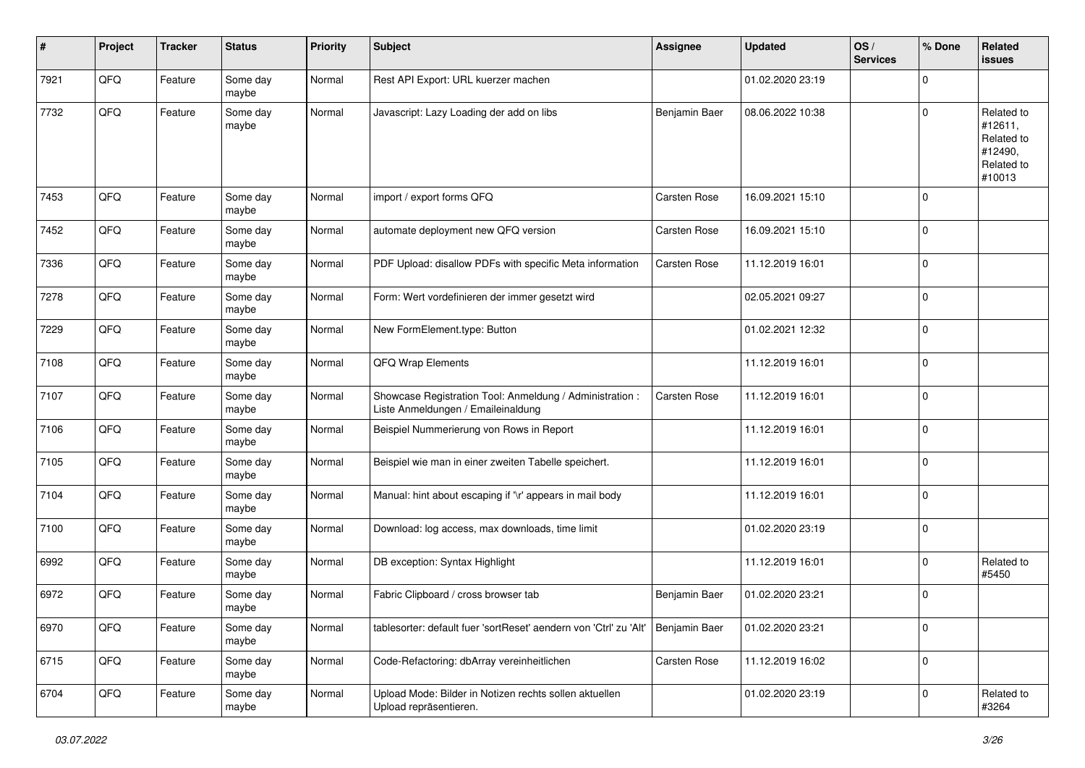| #    | Project | <b>Tracker</b> | <b>Status</b>     | <b>Priority</b> | Subject                                                                                        | <b>Assignee</b>     | <b>Updated</b>   | OS/<br><b>Services</b> | % Done         | Related<br><b>issues</b>                                               |
|------|---------|----------------|-------------------|-----------------|------------------------------------------------------------------------------------------------|---------------------|------------------|------------------------|----------------|------------------------------------------------------------------------|
| 7921 | QFQ     | Feature        | Some day<br>maybe | Normal          | Rest API Export: URL kuerzer machen                                                            |                     | 01.02.2020 23:19 |                        | $\mathbf 0$    |                                                                        |
| 7732 | QFQ     | Feature        | Some day<br>maybe | Normal          | Javascript: Lazy Loading der add on libs                                                       | Benjamin Baer       | 08.06.2022 10:38 |                        | $\mathbf 0$    | Related to<br>#12611,<br>Related to<br>#12490,<br>Related to<br>#10013 |
| 7453 | QFQ     | Feature        | Some day<br>maybe | Normal          | import / export forms QFQ                                                                      | <b>Carsten Rose</b> | 16.09.2021 15:10 |                        | $\mathbf 0$    |                                                                        |
| 7452 | QFQ     | Feature        | Some day<br>maybe | Normal          | automate deployment new QFQ version                                                            | Carsten Rose        | 16.09.2021 15:10 |                        | 0              |                                                                        |
| 7336 | QFQ     | Feature        | Some day<br>maybe | Normal          | PDF Upload: disallow PDFs with specific Meta information                                       | Carsten Rose        | 11.12.2019 16:01 |                        | 0              |                                                                        |
| 7278 | QFQ     | Feature        | Some day<br>maybe | Normal          | Form: Wert vordefinieren der immer gesetzt wird                                                |                     | 02.05.2021 09:27 |                        | $\mathbf 0$    |                                                                        |
| 7229 | QFQ     | Feature        | Some day<br>maybe | Normal          | New FormElement.type: Button                                                                   |                     | 01.02.2021 12:32 |                        | $\mathbf 0$    |                                                                        |
| 7108 | QFQ     | Feature        | Some day<br>maybe | Normal          | QFQ Wrap Elements                                                                              |                     | 11.12.2019 16:01 |                        | 0              |                                                                        |
| 7107 | QFQ     | Feature        | Some day<br>maybe | Normal          | Showcase Registration Tool: Anmeldung / Administration :<br>Liste Anmeldungen / Emaileinaldung | Carsten Rose        | 11.12.2019 16:01 |                        | $\mathbf 0$    |                                                                        |
| 7106 | QFQ     | Feature        | Some day<br>maybe | Normal          | Beispiel Nummerierung von Rows in Report                                                       |                     | 11.12.2019 16:01 |                        | $\mathbf 0$    |                                                                        |
| 7105 | QFQ     | Feature        | Some day<br>maybe | Normal          | Beispiel wie man in einer zweiten Tabelle speichert.                                           |                     | 11.12.2019 16:01 |                        | $\mathbf 0$    |                                                                        |
| 7104 | QFQ     | Feature        | Some day<br>maybe | Normal          | Manual: hint about escaping if '\r' appears in mail body                                       |                     | 11.12.2019 16:01 |                        | $\mathbf 0$    |                                                                        |
| 7100 | QFQ     | Feature        | Some day<br>maybe | Normal          | Download: log access, max downloads, time limit                                                |                     | 01.02.2020 23:19 |                        | $\mathbf 0$    |                                                                        |
| 6992 | QFQ     | Feature        | Some day<br>maybe | Normal          | DB exception: Syntax Highlight                                                                 |                     | 11.12.2019 16:01 |                        | 0              | Related to<br>#5450                                                    |
| 6972 | QFQ     | Feature        | Some day<br>maybe | Normal          | Fabric Clipboard / cross browser tab                                                           | Benjamin Baer       | 01.02.2020 23:21 |                        | 0              |                                                                        |
| 6970 | QFQ     | Feature        | Some day<br>maybe | Normal          | tablesorter: default fuer 'sortReset' aendern von 'Ctrl' zu 'Alt'                              | Benjamin Baer       | 01.02.2020 23:21 |                        | $\overline{0}$ |                                                                        |
| 6715 | QFQ     | Feature        | Some day<br>maybe | Normal          | Code-Refactoring: dbArray vereinheitlichen                                                     | Carsten Rose        | 11.12.2019 16:02 |                        | $\mathbf 0$    |                                                                        |
| 6704 | QFQ     | Feature        | Some day<br>maybe | Normal          | Upload Mode: Bilder in Notizen rechts sollen aktuellen<br>Upload repräsentieren.               |                     | 01.02.2020 23:19 |                        | $\mathbf 0$    | Related to<br>#3264                                                    |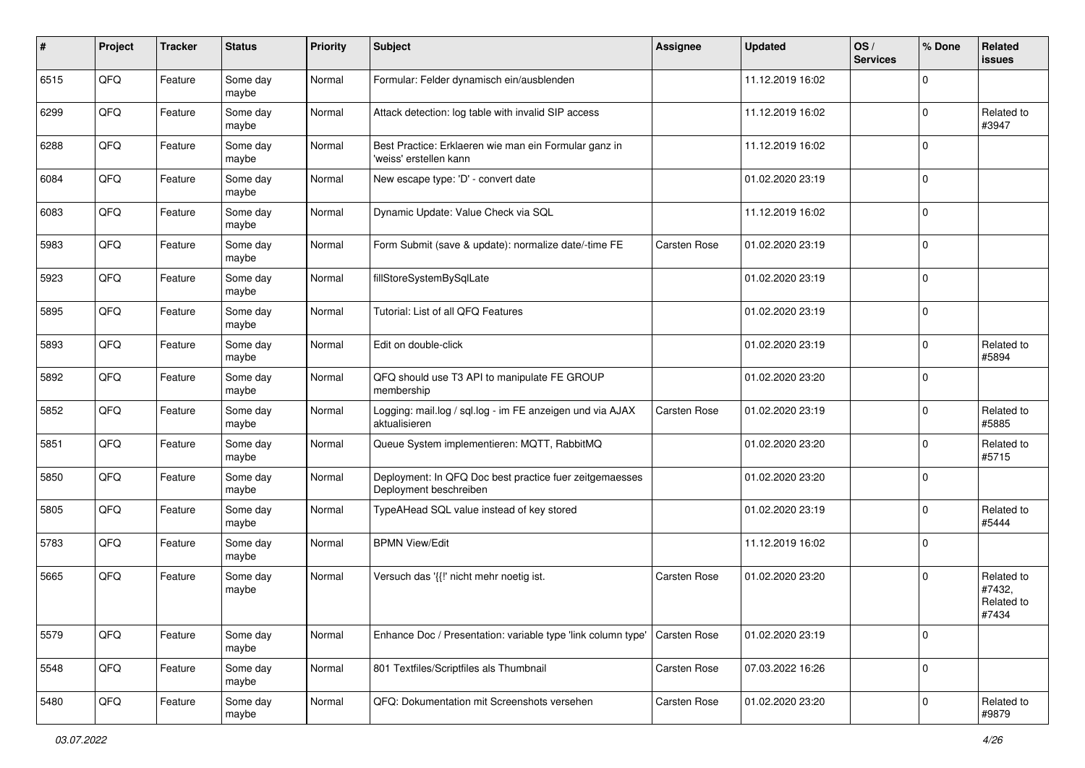| #    | Project | <b>Tracker</b> | <b>Status</b>     | <b>Priority</b> | Subject                                                                           | <b>Assignee</b>     | <b>Updated</b>   | OS/<br><b>Services</b> | % Done      | Related<br>issues                           |
|------|---------|----------------|-------------------|-----------------|-----------------------------------------------------------------------------------|---------------------|------------------|------------------------|-------------|---------------------------------------------|
| 6515 | QFQ     | Feature        | Some day<br>maybe | Normal          | Formular: Felder dynamisch ein/ausblenden                                         |                     | 11.12.2019 16:02 |                        | $\mathbf 0$ |                                             |
| 6299 | QFQ     | Feature        | Some day<br>maybe | Normal          | Attack detection: log table with invalid SIP access                               |                     | 11.12.2019 16:02 |                        | $\mathbf 0$ | Related to<br>#3947                         |
| 6288 | QFQ     | Feature        | Some day<br>maybe | Normal          | Best Practice: Erklaeren wie man ein Formular ganz in<br>'weiss' erstellen kann   |                     | 11.12.2019 16:02 |                        | $\Omega$    |                                             |
| 6084 | QFQ     | Feature        | Some day<br>maybe | Normal          | New escape type: 'D' - convert date                                               |                     | 01.02.2020 23:19 |                        | $\mathbf 0$ |                                             |
| 6083 | QFQ     | Feature        | Some day<br>maybe | Normal          | Dynamic Update: Value Check via SQL                                               |                     | 11.12.2019 16:02 |                        | $\mathbf 0$ |                                             |
| 5983 | QFQ     | Feature        | Some day<br>maybe | Normal          | Form Submit (save & update): normalize date/-time FE                              | Carsten Rose        | 01.02.2020 23:19 |                        | $\Omega$    |                                             |
| 5923 | QFQ     | Feature        | Some day<br>maybe | Normal          | fillStoreSystemBySqlLate                                                          |                     | 01.02.2020 23:19 |                        | $\mathbf 0$ |                                             |
| 5895 | QFQ     | Feature        | Some day<br>maybe | Normal          | Tutorial: List of all QFQ Features                                                |                     | 01.02.2020 23:19 |                        | $\mathbf 0$ |                                             |
| 5893 | QFQ     | Feature        | Some day<br>maybe | Normal          | Edit on double-click                                                              |                     | 01.02.2020 23:19 |                        | $\mathbf 0$ | Related to<br>#5894                         |
| 5892 | QFQ     | Feature        | Some day<br>maybe | Normal          | QFQ should use T3 API to manipulate FE GROUP<br>membership                        |                     | 01.02.2020 23:20 |                        | $\mathbf 0$ |                                             |
| 5852 | QFQ     | Feature        | Some day<br>maybe | Normal          | Logging: mail.log / sql.log - im FE anzeigen und via AJAX<br>aktualisieren        | <b>Carsten Rose</b> | 01.02.2020 23:19 |                        | $\mathbf 0$ | Related to<br>#5885                         |
| 5851 | QFQ     | Feature        | Some day<br>maybe | Normal          | Queue System implementieren: MQTT, RabbitMQ                                       |                     | 01.02.2020 23:20 |                        | $\mathbf 0$ | Related to<br>#5715                         |
| 5850 | QFQ     | Feature        | Some day<br>maybe | Normal          | Deployment: In QFQ Doc best practice fuer zeitgemaesses<br>Deployment beschreiben |                     | 01.02.2020 23:20 |                        | $\mathbf 0$ |                                             |
| 5805 | QFQ     | Feature        | Some day<br>maybe | Normal          | TypeAHead SQL value instead of key stored                                         |                     | 01.02.2020 23:19 |                        | $\mathbf 0$ | Related to<br>#5444                         |
| 5783 | QFQ     | Feature        | Some day<br>maybe | Normal          | <b>BPMN View/Edit</b>                                                             |                     | 11.12.2019 16:02 |                        | $\mathbf 0$ |                                             |
| 5665 | QFQ     | Feature        | Some day<br>maybe | Normal          | Versuch das '{{!' nicht mehr noetig ist.                                          | <b>Carsten Rose</b> | 01.02.2020 23:20 |                        | $\mathbf 0$ | Related to<br>#7432,<br>Related to<br>#7434 |
| 5579 | QFQ     | Feature        | Some day<br>maybe | Normal          | Enhance Doc / Presentation: variable type 'link column type'                      | Carsten Rose        | 01.02.2020 23:19 |                        | $\mathbf 0$ |                                             |
| 5548 | QFQ     | Feature        | Some day<br>maybe | Normal          | 801 Textfiles/Scriptfiles als Thumbnail                                           | Carsten Rose        | 07.03.2022 16:26 |                        | $\mathbf 0$ |                                             |
| 5480 | QFQ     | Feature        | Some day<br>maybe | Normal          | QFQ: Dokumentation mit Screenshots versehen                                       | Carsten Rose        | 01.02.2020 23:20 |                        | $\mathbf 0$ | Related to<br>#9879                         |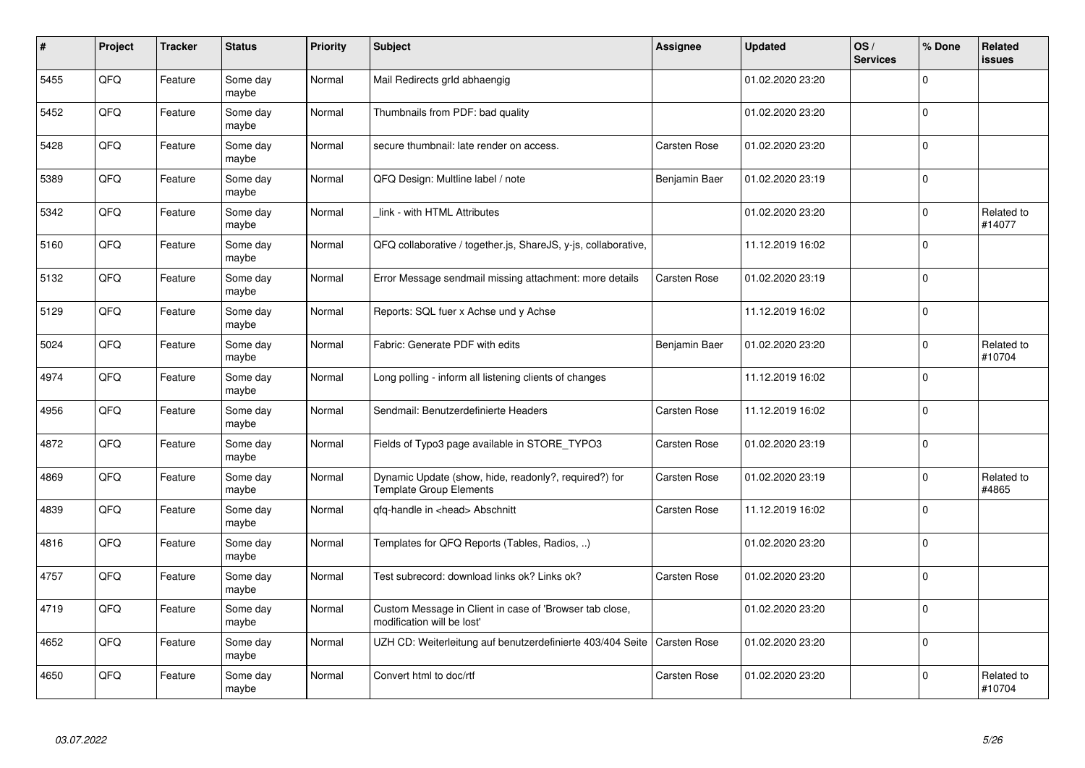| $\pmb{\#}$ | Project | <b>Tracker</b> | <b>Status</b>     | <b>Priority</b> | <b>Subject</b>                                                                          | <b>Assignee</b>     | <b>Updated</b>   | OS/<br><b>Services</b> | % Done      | Related<br>issues    |
|------------|---------|----------------|-------------------|-----------------|-----------------------------------------------------------------------------------------|---------------------|------------------|------------------------|-------------|----------------------|
| 5455       | QFQ     | Feature        | Some day<br>maybe | Normal          | Mail Redirects grld abhaengig                                                           |                     | 01.02.2020 23:20 |                        | $\Omega$    |                      |
| 5452       | QFQ     | Feature        | Some day<br>maybe | Normal          | Thumbnails from PDF: bad quality                                                        |                     | 01.02.2020 23:20 |                        | $\mathbf 0$ |                      |
| 5428       | QFQ     | Feature        | Some day<br>maybe | Normal          | secure thumbnail: late render on access.                                                | Carsten Rose        | 01.02.2020 23:20 |                        | $\Omega$    |                      |
| 5389       | QFQ     | Feature        | Some day<br>maybe | Normal          | QFQ Design: Multline label / note                                                       | Benjamin Baer       | 01.02.2020 23:19 |                        | $\Omega$    |                      |
| 5342       | QFQ     | Feature        | Some day<br>maybe | Normal          | link - with HTML Attributes                                                             |                     | 01.02.2020 23:20 |                        | $\mathbf 0$ | Related to<br>#14077 |
| 5160       | QFQ     | Feature        | Some day<br>maybe | Normal          | QFQ collaborative / together.js, ShareJS, y-js, collaborative,                          |                     | 11.12.2019 16:02 |                        | $\Omega$    |                      |
| 5132       | QFQ     | Feature        | Some day<br>maybe | Normal          | Error Message sendmail missing attachment: more details                                 | Carsten Rose        | 01.02.2020 23:19 |                        | $\mathbf 0$ |                      |
| 5129       | QFQ     | Feature        | Some day<br>maybe | Normal          | Reports: SQL fuer x Achse und y Achse                                                   |                     | 11.12.2019 16:02 |                        | $\mathbf 0$ |                      |
| 5024       | QFQ     | Feature        | Some day<br>maybe | Normal          | Fabric: Generate PDF with edits                                                         | Benjamin Baer       | 01.02.2020 23:20 |                        | $\Omega$    | Related to<br>#10704 |
| 4974       | QFQ     | Feature        | Some day<br>maybe | Normal          | Long polling - inform all listening clients of changes                                  |                     | 11.12.2019 16:02 |                        | $\mathbf 0$ |                      |
| 4956       | QFQ     | Feature        | Some day<br>maybe | Normal          | Sendmail: Benutzerdefinierte Headers                                                    | Carsten Rose        | 11.12.2019 16:02 |                        | $\mathbf 0$ |                      |
| 4872       | QFQ     | Feature        | Some day<br>maybe | Normal          | Fields of Typo3 page available in STORE_TYPO3                                           | Carsten Rose        | 01.02.2020 23:19 |                        | $\mathbf 0$ |                      |
| 4869       | QFQ     | Feature        | Some day<br>maybe | Normal          | Dynamic Update (show, hide, readonly?, required?) for<br><b>Template Group Elements</b> | Carsten Rose        | 01.02.2020 23:19 |                        | $\Omega$    | Related to<br>#4865  |
| 4839       | QFQ     | Feature        | Some day<br>maybe | Normal          | qfq-handle in <head> Abschnitt</head>                                                   | <b>Carsten Rose</b> | 11.12.2019 16:02 |                        | $\mathbf 0$ |                      |
| 4816       | QFQ     | Feature        | Some day<br>maybe | Normal          | Templates for QFQ Reports (Tables, Radios, )                                            |                     | 01.02.2020 23:20 |                        | $\Omega$    |                      |
| 4757       | QFQ     | Feature        | Some day<br>maybe | Normal          | Test subrecord: download links ok? Links ok?                                            | Carsten Rose        | 01.02.2020 23:20 |                        | $\Omega$    |                      |
| 4719       | QFQ     | Feature        | Some day<br>maybe | Normal          | Custom Message in Client in case of 'Browser tab close,<br>modification will be lost'   |                     | 01.02.2020 23:20 |                        | $\Omega$    |                      |
| 4652       | QFQ     | Feature        | Some day<br>maybe | Normal          | UZH CD: Weiterleitung auf benutzerdefinierte 403/404 Seite                              | Carsten Rose        | 01.02.2020 23:20 |                        | $\pmb{0}$   |                      |
| 4650       | QFQ     | Feature        | Some day<br>maybe | Normal          | Convert html to doc/rtf                                                                 | Carsten Rose        | 01.02.2020 23:20 |                        | $\Omega$    | Related to<br>#10704 |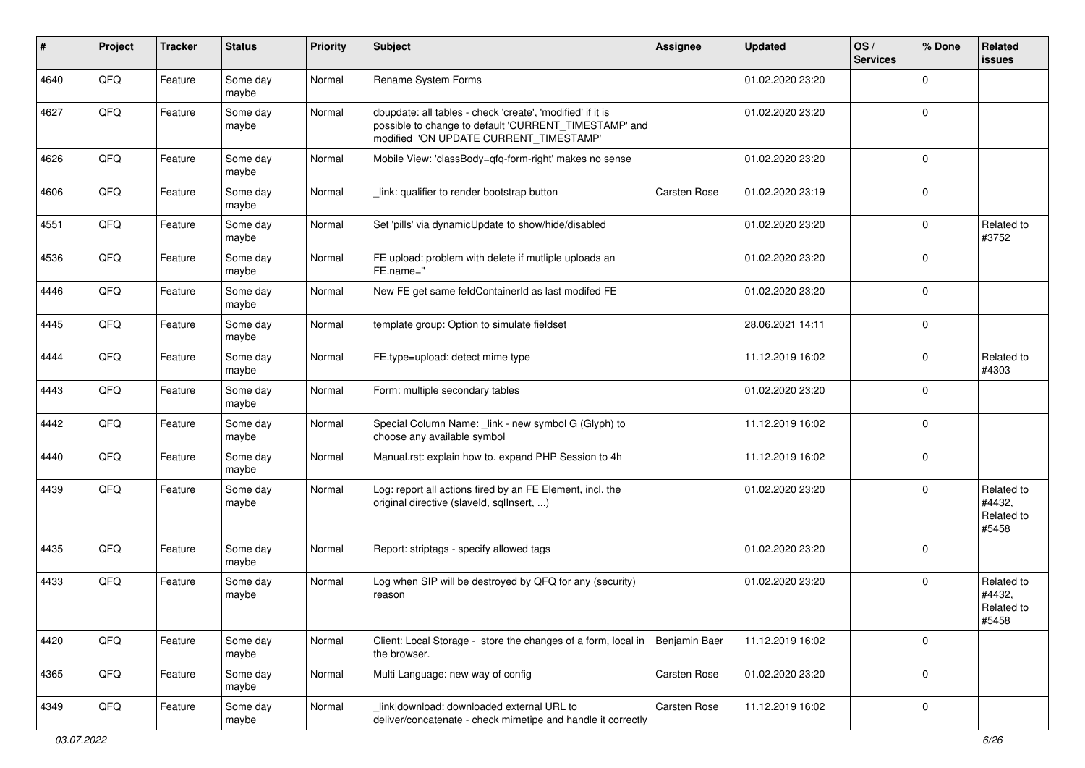| ∦    | Project | <b>Tracker</b> | <b>Status</b>     | <b>Priority</b> | Subject                                                                                                                                                       | Assignee            | <b>Updated</b>   | OS/<br><b>Services</b> | % Done      | Related<br>issues                           |
|------|---------|----------------|-------------------|-----------------|---------------------------------------------------------------------------------------------------------------------------------------------------------------|---------------------|------------------|------------------------|-------------|---------------------------------------------|
| 4640 | QFQ     | Feature        | Some day<br>maybe | Normal          | Rename System Forms                                                                                                                                           |                     | 01.02.2020 23:20 |                        | $\mathbf 0$ |                                             |
| 4627 | QFQ     | Feature        | Some day<br>maybe | Normal          | dbupdate: all tables - check 'create', 'modified' if it is<br>possible to change to default 'CURRENT_TIMESTAMP' and<br>modified 'ON UPDATE CURRENT_TIMESTAMP' |                     | 01.02.2020 23:20 |                        | $\mathbf 0$ |                                             |
| 4626 | QFQ     | Feature        | Some day<br>maybe | Normal          | Mobile View: 'classBody=qfq-form-right' makes no sense                                                                                                        |                     | 01.02.2020 23:20 |                        | $\mathbf 0$ |                                             |
| 4606 | QFQ     | Feature        | Some day<br>maybe | Normal          | link: qualifier to render bootstrap button                                                                                                                    | <b>Carsten Rose</b> | 01.02.2020 23:19 |                        | $\mathbf 0$ |                                             |
| 4551 | QFQ     | Feature        | Some day<br>maybe | Normal          | Set 'pills' via dynamicUpdate to show/hide/disabled                                                                                                           |                     | 01.02.2020 23:20 |                        | $\mathbf 0$ | Related to<br>#3752                         |
| 4536 | QFQ     | Feature        | Some day<br>maybe | Normal          | FE upload: problem with delete if mutliple uploads an<br>FE.name="                                                                                            |                     | 01.02.2020 23:20 |                        | $\mathbf 0$ |                                             |
| 4446 | QFQ     | Feature        | Some day<br>maybe | Normal          | New FE get same feldContainerId as last modifed FE                                                                                                            |                     | 01.02.2020 23:20 |                        | $\mathbf 0$ |                                             |
| 4445 | QFQ     | Feature        | Some day<br>maybe | Normal          | template group: Option to simulate fieldset                                                                                                                   |                     | 28.06.2021 14:11 |                        | $\mathbf 0$ |                                             |
| 4444 | QFQ     | Feature        | Some day<br>maybe | Normal          | FE.type=upload: detect mime type                                                                                                                              |                     | 11.12.2019 16:02 |                        | $\mathbf 0$ | Related to<br>#4303                         |
| 4443 | QFQ     | Feature        | Some day<br>maybe | Normal          | Form: multiple secondary tables                                                                                                                               |                     | 01.02.2020 23:20 |                        | $\mathbf 0$ |                                             |
| 4442 | QFQ     | Feature        | Some day<br>maybe | Normal          | Special Column Name: _link - new symbol G (Glyph) to<br>choose any available symbol                                                                           |                     | 11.12.2019 16:02 |                        | $\mathbf 0$ |                                             |
| 4440 | QFQ     | Feature        | Some day<br>maybe | Normal          | Manual.rst: explain how to. expand PHP Session to 4h                                                                                                          |                     | 11.12.2019 16:02 |                        | $\mathbf 0$ |                                             |
| 4439 | QFQ     | Feature        | Some day<br>maybe | Normal          | Log: report all actions fired by an FE Element, incl. the<br>original directive (slaveld, sqllnsert, )                                                        |                     | 01.02.2020 23:20 |                        | $\mathbf 0$ | Related to<br>#4432,<br>Related to<br>#5458 |
| 4435 | QFQ     | Feature        | Some day<br>maybe | Normal          | Report: striptags - specify allowed tags                                                                                                                      |                     | 01.02.2020 23:20 |                        | $\mathbf 0$ |                                             |
| 4433 | QFQ     | Feature        | Some day<br>maybe | Normal          | Log when SIP will be destroyed by QFQ for any (security)<br>reason                                                                                            |                     | 01.02.2020 23:20 |                        | $\mathbf 0$ | Related to<br>#4432,<br>Related to<br>#5458 |
| 4420 | QFO     | Feature        | Some day<br>maybe | Normal          | Client: Local Storage - store the changes of a form, local in<br>the browser.                                                                                 | Benjamin Baer       | 11.12.2019 16:02 |                        | 0           |                                             |
| 4365 | QFG     | Feature        | Some day<br>maybe | Normal          | Multi Language: new way of config                                                                                                                             | Carsten Rose        | 01.02.2020 23:20 |                        | $\mathbf 0$ |                                             |
| 4349 | QFO     | Feature        | Some day<br>maybe | Normal          | link download: downloaded external URL to<br>deliver/concatenate - check mimetipe and handle it correctly                                                     | Carsten Rose        | 11.12.2019 16:02 |                        | $\pmb{0}$   |                                             |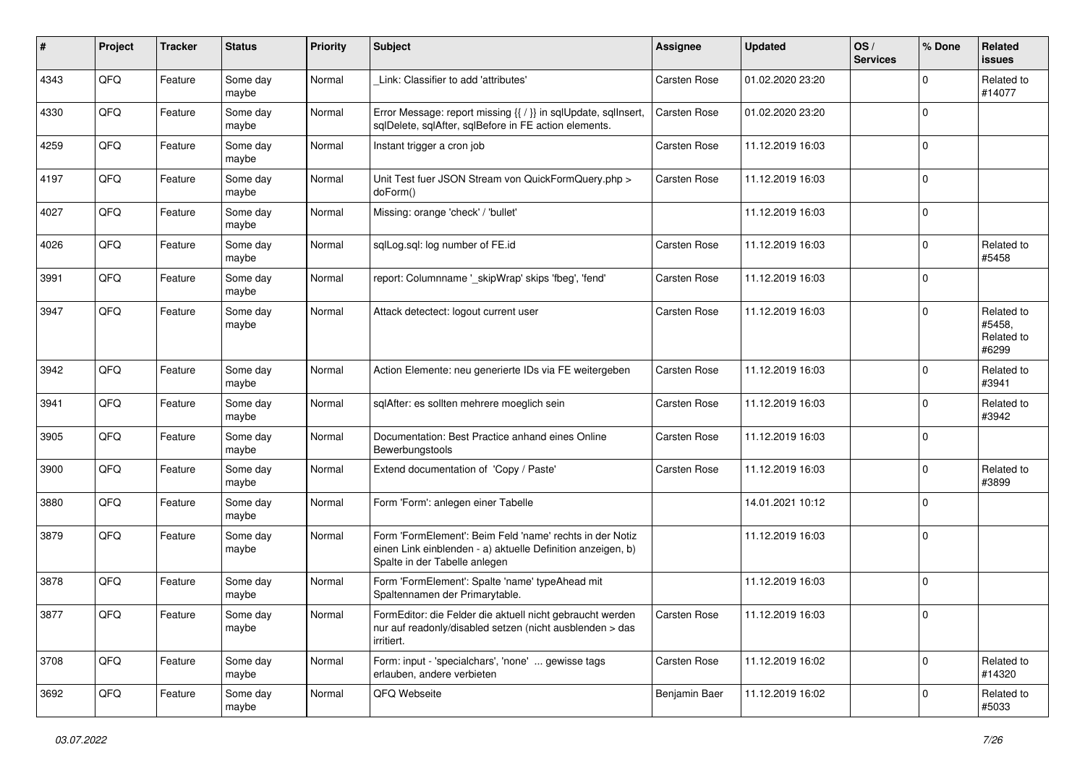| #    | Project | <b>Tracker</b> | <b>Status</b>     | <b>Priority</b> | Subject                                                                                                                                                  | Assignee            | <b>Updated</b>   | OS/<br><b>Services</b> | % Done         | Related<br>issues                           |
|------|---------|----------------|-------------------|-----------------|----------------------------------------------------------------------------------------------------------------------------------------------------------|---------------------|------------------|------------------------|----------------|---------------------------------------------|
| 4343 | QFQ     | Feature        | Some day<br>maybe | Normal          | Link: Classifier to add 'attributes'                                                                                                                     | Carsten Rose        | 01.02.2020 23:20 |                        | $\Omega$       | Related to<br>#14077                        |
| 4330 | QFQ     | Feature        | Some day<br>maybe | Normal          | Error Message: report missing {{ / }} in sqlUpdate, sqlInsert,<br>sqlDelete, sqlAfter, sqlBefore in FE action elements.                                  | Carsten Rose        | 01.02.2020 23:20 |                        | $\mathbf 0$    |                                             |
| 4259 | QFQ     | Feature        | Some day<br>maybe | Normal          | Instant trigger a cron job                                                                                                                               | <b>Carsten Rose</b> | 11.12.2019 16:03 |                        | $\Omega$       |                                             |
| 4197 | QFQ     | Feature        | Some day<br>maybe | Normal          | Unit Test fuer JSON Stream von QuickFormQuery.php ><br>doForm()                                                                                          | <b>Carsten Rose</b> | 11.12.2019 16:03 |                        | $\mathbf 0$    |                                             |
| 4027 | QFQ     | Feature        | Some day<br>maybe | Normal          | Missing: orange 'check' / 'bullet'                                                                                                                       |                     | 11.12.2019 16:03 |                        | $\Omega$       |                                             |
| 4026 | QFQ     | Feature        | Some day<br>maybe | Normal          | sqlLog.sql: log number of FE.id                                                                                                                          | Carsten Rose        | 11.12.2019 16:03 |                        | $\mathbf 0$    | Related to<br>#5458                         |
| 3991 | QFQ     | Feature        | Some day<br>maybe | Normal          | report: Columnname '_skipWrap' skips 'fbeg', 'fend'                                                                                                      | Carsten Rose        | 11.12.2019 16:03 |                        | $\Omega$       |                                             |
| 3947 | QFQ     | Feature        | Some day<br>maybe | Normal          | Attack detectect: logout current user                                                                                                                    | Carsten Rose        | 11.12.2019 16:03 |                        | $\Omega$       | Related to<br>#5458.<br>Related to<br>#6299 |
| 3942 | QFQ     | Feature        | Some day<br>maybe | Normal          | Action Elemente: neu generierte IDs via FE weitergeben                                                                                                   | Carsten Rose        | 11.12.2019 16:03 |                        | $\Omega$       | Related to<br>#3941                         |
| 3941 | QFQ     | Feature        | Some day<br>maybe | Normal          | sqlAfter: es sollten mehrere moeglich sein                                                                                                               | <b>Carsten Rose</b> | 11.12.2019 16:03 |                        | $\mathbf 0$    | Related to<br>#3942                         |
| 3905 | QFQ     | Feature        | Some day<br>maybe | Normal          | Documentation: Best Practice anhand eines Online<br>Bewerbungstools                                                                                      | <b>Carsten Rose</b> | 11.12.2019 16:03 |                        | $\mathbf 0$    |                                             |
| 3900 | QFQ     | Feature        | Some day<br>maybe | Normal          | Extend documentation of 'Copy / Paste'                                                                                                                   | <b>Carsten Rose</b> | 11.12.2019 16:03 |                        | $\mathbf 0$    | Related to<br>#3899                         |
| 3880 | QFQ     | Feature        | Some day<br>maybe | Normal          | Form 'Form': anlegen einer Tabelle                                                                                                                       |                     | 14.01.2021 10:12 |                        | $\mathbf 0$    |                                             |
| 3879 | QFQ     | Feature        | Some day<br>maybe | Normal          | Form 'FormElement': Beim Feld 'name' rechts in der Notiz<br>einen Link einblenden - a) aktuelle Definition anzeigen, b)<br>Spalte in der Tabelle anlegen |                     | 11.12.2019 16:03 |                        | $\Omega$       |                                             |
| 3878 | QFQ     | Feature        | Some day<br>maybe | Normal          | Form 'FormElement': Spalte 'name' typeAhead mit<br>Spaltennamen der Primarytable.                                                                        |                     | 11.12.2019 16:03 |                        | $\Omega$       |                                             |
| 3877 | QFQ     | Feature        | Some day<br>maybe | Normal          | FormEditor: die Felder die aktuell nicht gebraucht werden<br>nur auf readonly/disabled setzen (nicht ausblenden > das<br>irritiert.                      | Carsten Rose        | 11.12.2019 16:03 |                        | 0              |                                             |
| 3708 | QFQ     | Feature        | Some day<br>maybe | Normal          | Form: input - 'specialchars', 'none'  gewisse tags<br>erlauben, andere verbieten                                                                         | <b>Carsten Rose</b> | 11.12.2019 16:02 |                        | $\overline{0}$ | Related to<br>#14320                        |
| 3692 | QFQ     | Feature        | Some day<br>maybe | Normal          | QFQ Webseite                                                                                                                                             | Benjamin Baer       | 11.12.2019 16:02 |                        | $\mathbf 0$    | Related to<br>#5033                         |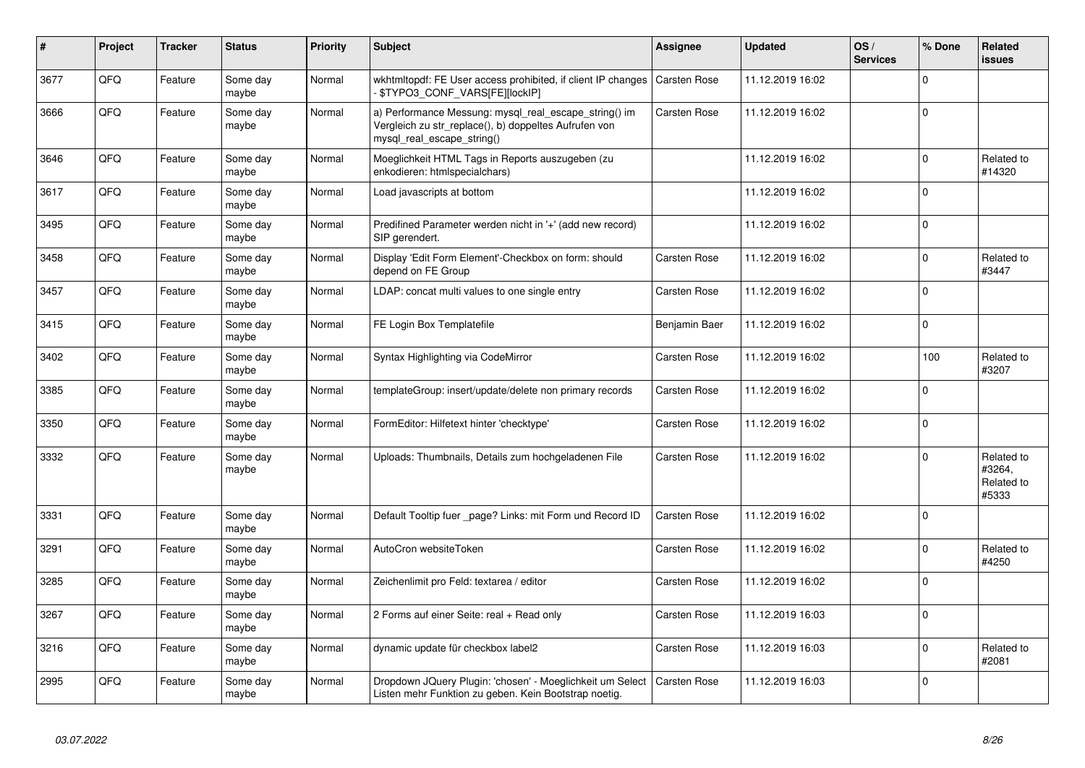| #    | <b>Project</b> | <b>Tracker</b> | <b>Status</b>     | <b>Priority</b> | <b>Subject</b>                                                                                                                               | Assignee            | <b>Updated</b>   | OS/<br><b>Services</b> | % Done      | Related<br><b>issues</b>                    |
|------|----------------|----------------|-------------------|-----------------|----------------------------------------------------------------------------------------------------------------------------------------------|---------------------|------------------|------------------------|-------------|---------------------------------------------|
| 3677 | QFQ            | Feature        | Some day<br>maybe | Normal          | wkhtmitopdf: FE User access prohibited, if client IP changes<br>- \$TYPO3_CONF_VARS[FE][lockIP]                                              | Carsten Rose        | 11.12.2019 16:02 |                        | $\Omega$    |                                             |
| 3666 | QFQ            | Feature        | Some day<br>maybe | Normal          | a) Performance Messung: mysql_real_escape_string() im<br>Vergleich zu str replace(), b) doppeltes Aufrufen von<br>mysql_real_escape_string() | Carsten Rose        | 11.12.2019 16:02 |                        | $\Omega$    |                                             |
| 3646 | QFQ            | Feature        | Some day<br>maybe | Normal          | Moeglichkeit HTML Tags in Reports auszugeben (zu<br>enkodieren: htmlspecialchars)                                                            |                     | 11.12.2019 16:02 |                        | $\mathbf 0$ | Related to<br>#14320                        |
| 3617 | QFQ            | Feature        | Some day<br>maybe | Normal          | Load javascripts at bottom                                                                                                                   |                     | 11.12.2019 16:02 |                        | $\mathbf 0$ |                                             |
| 3495 | QFQ            | Feature        | Some day<br>maybe | Normal          | Predifined Parameter werden nicht in '+' (add new record)<br>SIP gerendert.                                                                  |                     | 11.12.2019 16:02 |                        | $\Omega$    |                                             |
| 3458 | QFQ            | Feature        | Some day<br>maybe | Normal          | Display 'Edit Form Element'-Checkbox on form: should<br>depend on FE Group                                                                   | Carsten Rose        | 11.12.2019 16:02 |                        | $\Omega$    | Related to<br>#3447                         |
| 3457 | QFQ            | Feature        | Some day<br>maybe | Normal          | LDAP: concat multi values to one single entry                                                                                                | Carsten Rose        | 11.12.2019 16:02 |                        | $\mathbf 0$ |                                             |
| 3415 | QFQ            | Feature        | Some day<br>maybe | Normal          | FE Login Box Templatefile                                                                                                                    | Benjamin Baer       | 11.12.2019 16:02 |                        | $\mathbf 0$ |                                             |
| 3402 | QFQ            | Feature        | Some day<br>maybe | Normal          | Syntax Highlighting via CodeMirror                                                                                                           | Carsten Rose        | 11.12.2019 16:02 |                        | 100         | Related to<br>#3207                         |
| 3385 | QFQ            | Feature        | Some day<br>maybe | Normal          | templateGroup: insert/update/delete non primary records                                                                                      | Carsten Rose        | 11.12.2019 16:02 |                        | $\mathbf 0$ |                                             |
| 3350 | QFQ            | Feature        | Some day<br>maybe | Normal          | FormEditor: Hilfetext hinter 'checktype'                                                                                                     | Carsten Rose        | 11.12.2019 16:02 |                        | $\Omega$    |                                             |
| 3332 | QFQ            | Feature        | Some day<br>maybe | Normal          | Uploads: Thumbnails, Details zum hochgeladenen File                                                                                          | <b>Carsten Rose</b> | 11.12.2019 16:02 |                        | $\mathbf 0$ | Related to<br>#3264.<br>Related to<br>#5333 |
| 3331 | QFQ            | Feature        | Some day<br>maybe | Normal          | Default Tooltip fuer page? Links: mit Form und Record ID                                                                                     | Carsten Rose        | 11.12.2019 16:02 |                        | $\mathbf 0$ |                                             |
| 3291 | QFQ            | Feature        | Some day<br>maybe | Normal          | AutoCron websiteToken                                                                                                                        | Carsten Rose        | 11.12.2019 16:02 |                        | $\mathbf 0$ | Related to<br>#4250                         |
| 3285 | QFQ            | Feature        | Some day<br>maybe | Normal          | Zeichenlimit pro Feld: textarea / editor                                                                                                     | Carsten Rose        | 11.12.2019 16:02 |                        | $\Omega$    |                                             |
| 3267 | QFQ            | Feature        | Some day<br>maybe | Normal          | 2 Forms auf einer Seite: real + Read only                                                                                                    | <b>Carsten Rose</b> | 11.12.2019 16:03 |                        | $\mathbf 0$ |                                             |
| 3216 | QFQ            | Feature        | Some day<br>maybe | Normal          | dynamic update für checkbox label2                                                                                                           | <b>Carsten Rose</b> | 11.12.2019 16:03 |                        | $\mathbf 0$ | Related to<br>#2081                         |
| 2995 | QFQ            | Feature        | Some day<br>maybe | Normal          | Dropdown JQuery Plugin: 'chosen' - Moeglichkeit um Select<br>Listen mehr Funktion zu geben. Kein Bootstrap noetig.                           | <b>Carsten Rose</b> | 11.12.2019 16:03 |                        | $\Omega$    |                                             |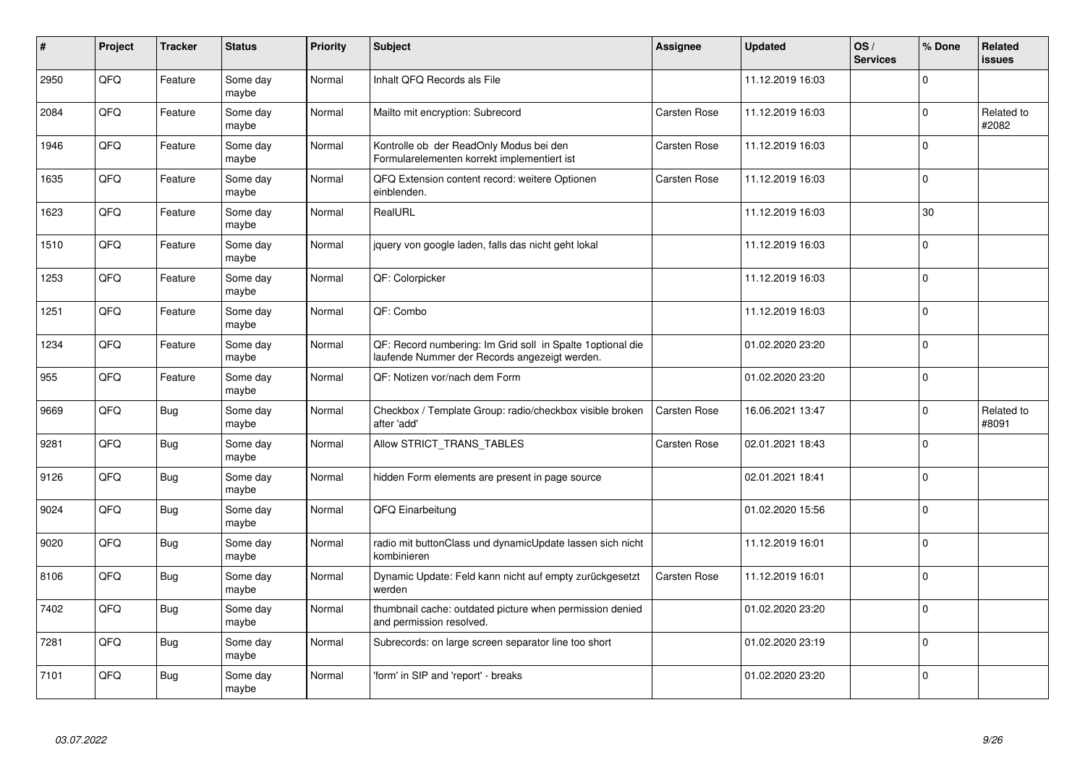| #    | Project | <b>Tracker</b> | <b>Status</b>     | <b>Priority</b> | <b>Subject</b>                                                                                              | Assignee            | <b>Updated</b>   | OS/<br><b>Services</b> | % Done      | Related<br><b>issues</b> |
|------|---------|----------------|-------------------|-----------------|-------------------------------------------------------------------------------------------------------------|---------------------|------------------|------------------------|-------------|--------------------------|
| 2950 | QFQ     | Feature        | Some day<br>maybe | Normal          | Inhalt QFQ Records als File                                                                                 |                     | 11.12.2019 16:03 |                        | $\Omega$    |                          |
| 2084 | QFQ     | Feature        | Some day<br>maybe | Normal          | Mailto mit encryption: Subrecord                                                                            | Carsten Rose        | 11.12.2019 16:03 |                        | $\mathbf 0$ | Related to<br>#2082      |
| 1946 | QFQ     | Feature        | Some day<br>maybe | Normal          | Kontrolle ob der ReadOnly Modus bei den<br>Formularelementen korrekt implementiert ist                      | Carsten Rose        | 11.12.2019 16:03 |                        | $\Omega$    |                          |
| 1635 | QFQ     | Feature        | Some day<br>maybe | Normal          | QFQ Extension content record: weitere Optionen<br>einblenden.                                               | Carsten Rose        | 11.12.2019 16:03 |                        | $\Omega$    |                          |
| 1623 | QFQ     | Feature        | Some day<br>maybe | Normal          | RealURL                                                                                                     |                     | 11.12.2019 16:03 |                        | 30          |                          |
| 1510 | QFQ     | Feature        | Some day<br>maybe | Normal          | jquery von google laden, falls das nicht geht lokal                                                         |                     | 11.12.2019 16:03 |                        | $\mathbf 0$ |                          |
| 1253 | QFQ     | Feature        | Some day<br>maybe | Normal          | QF: Colorpicker                                                                                             |                     | 11.12.2019 16:03 |                        | $\mathbf 0$ |                          |
| 1251 | QFQ     | Feature        | Some day<br>maybe | Normal          | QF: Combo                                                                                                   |                     | 11.12.2019 16:03 |                        | $\Omega$    |                          |
| 1234 | QFQ     | Feature        | Some day<br>maybe | Normal          | QF: Record numbering: Im Grid soll in Spalte 1optional die<br>laufende Nummer der Records angezeigt werden. |                     | 01.02.2020 23:20 |                        | $\mathbf 0$ |                          |
| 955  | QFQ     | Feature        | Some day<br>maybe | Normal          | QF: Notizen vor/nach dem Form                                                                               |                     | 01.02.2020 23:20 |                        | $\mathbf 0$ |                          |
| 9669 | QFQ     | Bug            | Some day<br>maybe | Normal          | Checkbox / Template Group: radio/checkbox visible broken<br>after 'add'                                     | <b>Carsten Rose</b> | 16.06.2021 13:47 |                        | $\mathbf 0$ | Related to<br>#8091      |
| 9281 | QFQ     | <b>Bug</b>     | Some day<br>maybe | Normal          | Allow STRICT_TRANS_TABLES                                                                                   | Carsten Rose        | 02.01.2021 18:43 |                        | $\Omega$    |                          |
| 9126 | QFQ     | Bug            | Some day<br>maybe | Normal          | hidden Form elements are present in page source                                                             |                     | 02.01.2021 18:41 |                        | $\mathbf 0$ |                          |
| 9024 | QFQ     | <b>Bug</b>     | Some day<br>maybe | Normal          | QFQ Einarbeitung                                                                                            |                     | 01.02.2020 15:56 |                        | $\pmb{0}$   |                          |
| 9020 | QFQ     | <b>Bug</b>     | Some day<br>maybe | Normal          | radio mit buttonClass und dynamicUpdate lassen sich nicht<br>kombinieren                                    |                     | 11.12.2019 16:01 |                        | $\Omega$    |                          |
| 8106 | QFQ     | <b>Bug</b>     | Some day<br>maybe | Normal          | Dynamic Update: Feld kann nicht auf empty zurückgesetzt<br>werden                                           | Carsten Rose        | 11.12.2019 16:01 |                        | $\mathbf 0$ |                          |
| 7402 | QFQ     | <b>Bug</b>     | Some day<br>maybe | Normal          | thumbnail cache: outdated picture when permission denied<br>and permission resolved.                        |                     | 01.02.2020 23:20 |                        | $\mathbf 0$ |                          |
| 7281 | QFQ     | <b>Bug</b>     | Some day<br>maybe | Normal          | Subrecords: on large screen separator line too short                                                        |                     | 01.02.2020 23:19 |                        | $\pmb{0}$   |                          |
| 7101 | QFQ     | <b>Bug</b>     | Some day<br>maybe | Normal          | 'form' in SIP and 'report' - breaks                                                                         |                     | 01.02.2020 23:20 |                        | $\Omega$    |                          |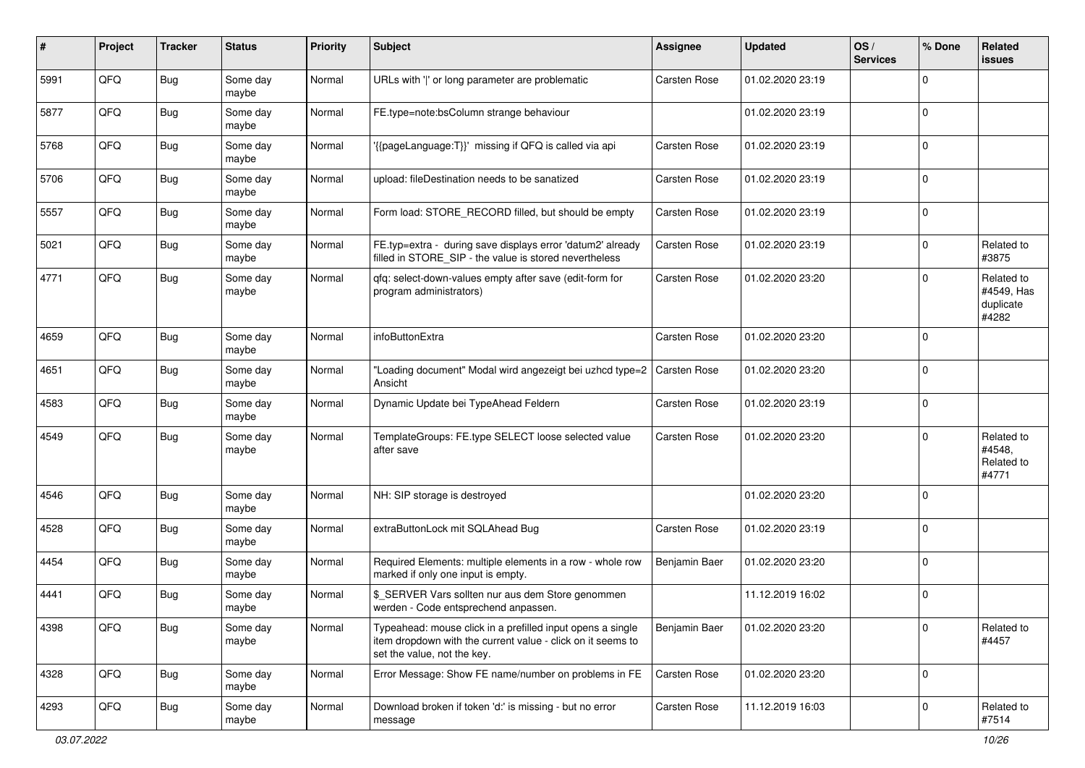| #    | Project | <b>Tracker</b> | <b>Status</b>     | <b>Priority</b> | <b>Subject</b>                                                                                                                                           | <b>Assignee</b>     | <b>Updated</b>   | OS/<br><b>Services</b> | % Done      | Related<br><b>issues</b>                       |
|------|---------|----------------|-------------------|-----------------|----------------------------------------------------------------------------------------------------------------------------------------------------------|---------------------|------------------|------------------------|-------------|------------------------------------------------|
| 5991 | QFQ     | <b>Bug</b>     | Some day<br>maybe | Normal          | URLs with ' ' or long parameter are problematic                                                                                                          | Carsten Rose        | 01.02.2020 23:19 |                        | $\Omega$    |                                                |
| 5877 | QFQ     | <b>Bug</b>     | Some day<br>maybe | Normal          | FE.type=note:bsColumn strange behaviour                                                                                                                  |                     | 01.02.2020 23:19 |                        | $\mathbf 0$ |                                                |
| 5768 | QFQ     | <b>Bug</b>     | Some day<br>maybe | Normal          | '{{pageLanguage:T}}' missing if QFQ is called via api                                                                                                    | <b>Carsten Rose</b> | 01.02.2020 23:19 |                        | $\Omega$    |                                                |
| 5706 | QFQ     | <b>Bug</b>     | Some day<br>maybe | Normal          | upload: fileDestination needs to be sanatized                                                                                                            | Carsten Rose        | 01.02.2020 23:19 |                        | $\mathbf 0$ |                                                |
| 5557 | QFQ     | Bug            | Some day<br>maybe | Normal          | Form load: STORE_RECORD filled, but should be empty                                                                                                      | Carsten Rose        | 01.02.2020 23:19 |                        | $\mathbf 0$ |                                                |
| 5021 | QFQ     | <b>Bug</b>     | Some day<br>maybe | Normal          | FE.typ=extra - during save displays error 'datum2' already<br>filled in STORE_SIP - the value is stored nevertheless                                     | Carsten Rose        | 01.02.2020 23:19 |                        | $\mathbf 0$ | Related to<br>#3875                            |
| 4771 | QFQ     | Bug            | Some day<br>maybe | Normal          | qfq: select-down-values empty after save (edit-form for<br>program administrators)                                                                       | Carsten Rose        | 01.02.2020 23:20 |                        | $\mathbf 0$ | Related to<br>#4549, Has<br>duplicate<br>#4282 |
| 4659 | QFQ     | <b>Bug</b>     | Some day<br>maybe | Normal          | infoButtonExtra                                                                                                                                          | Carsten Rose        | 01.02.2020 23:20 |                        | $\mathbf 0$ |                                                |
| 4651 | QFQ     | Bug            | Some day<br>maybe | Normal          | "Loading document" Modal wird angezeigt bei uzhcd type=2<br>Ansicht                                                                                      | <b>Carsten Rose</b> | 01.02.2020 23:20 |                        | $\mathbf 0$ |                                                |
| 4583 | QFQ     | <b>Bug</b>     | Some day<br>maybe | Normal          | Dynamic Update bei TypeAhead Feldern                                                                                                                     | Carsten Rose        | 01.02.2020 23:19 |                        | $\mathbf 0$ |                                                |
| 4549 | QFQ     | Bug            | Some day<br>maybe | Normal          | TemplateGroups: FE.type SELECT loose selected value<br>after save                                                                                        | Carsten Rose        | 01.02.2020 23:20 |                        | $\mathbf 0$ | Related to<br>#4548,<br>Related to<br>#4771    |
| 4546 | QFQ     | <b>Bug</b>     | Some day<br>maybe | Normal          | NH: SIP storage is destroyed                                                                                                                             |                     | 01.02.2020 23:20 |                        | $\mathbf 0$ |                                                |
| 4528 | QFQ     | Bug            | Some day<br>maybe | Normal          | extraButtonLock mit SQLAhead Bug                                                                                                                         | Carsten Rose        | 01.02.2020 23:19 |                        | $\mathbf 0$ |                                                |
| 4454 | QFQ     | <b>Bug</b>     | Some day<br>maybe | Normal          | Required Elements: multiple elements in a row - whole row<br>marked if only one input is empty.                                                          | Benjamin Baer       | 01.02.2020 23:20 |                        | $\mathbf 0$ |                                                |
| 4441 | QFQ     | <b>Bug</b>     | Some day<br>maybe | Normal          | \$_SERVER Vars sollten nur aus dem Store genommen<br>werden - Code entsprechend anpassen.                                                                |                     | 11.12.2019 16:02 |                        | $\mathbf 0$ |                                                |
| 4398 | QFG     | <b>Bug</b>     | Some day<br>maybe | Normal          | Typeahead: mouse click in a prefilled input opens a single<br>item dropdown with the current value - click on it seems to<br>set the value, not the key. | Benjamin Baer       | 01.02.2020 23:20 |                        | $\mathbf 0$ | Related to<br>#4457                            |
| 4328 | QFQ     | Bug            | Some day<br>maybe | Normal          | Error Message: Show FE name/number on problems in FE                                                                                                     | Carsten Rose        | 01.02.2020 23:20 |                        | $\mathbf 0$ |                                                |
| 4293 | QFQ     | <b>Bug</b>     | Some day<br>maybe | Normal          | Download broken if token 'd:' is missing - but no error<br>message                                                                                       | Carsten Rose        | 11.12.2019 16:03 |                        | $\mathbf 0$ | Related to<br>#7514                            |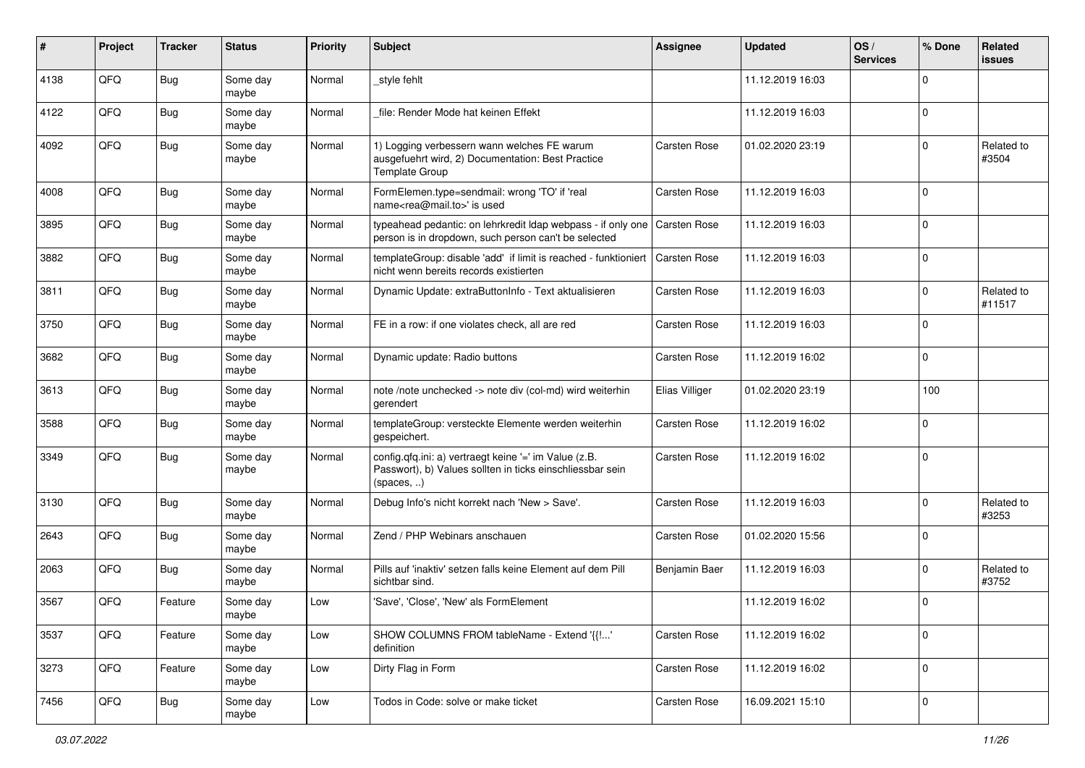| #    | Project | <b>Tracker</b> | <b>Status</b>     | <b>Priority</b> | <b>Subject</b>                                                                                                                   | <b>Assignee</b>     | <b>Updated</b>   | OS/<br><b>Services</b> | % Done      | Related<br><b>issues</b> |
|------|---------|----------------|-------------------|-----------------|----------------------------------------------------------------------------------------------------------------------------------|---------------------|------------------|------------------------|-------------|--------------------------|
| 4138 | QFQ     | Bug            | Some day<br>maybe | Normal          | style fehlt                                                                                                                      |                     | 11.12.2019 16:03 |                        | $\mathbf 0$ |                          |
| 4122 | QFQ     | Bug            | Some day<br>maybe | Normal          | file: Render Mode hat keinen Effekt                                                                                              |                     | 11.12.2019 16:03 |                        | $\mathbf 0$ |                          |
| 4092 | QFQ     | <b>Bug</b>     | Some day<br>maybe | Normal          | 1) Logging verbessern wann welches FE warum<br>ausgefuehrt wird, 2) Documentation: Best Practice<br>Template Group               | Carsten Rose        | 01.02.2020 23:19 |                        | $\mathbf 0$ | Related to<br>#3504      |
| 4008 | QFQ     | <b>Bug</b>     | Some day<br>maybe | Normal          | FormElemen.type=sendmail: wrong 'TO' if 'real<br>name <rea@mail.to>' is used</rea@mail.to>                                       | Carsten Rose        | 11.12.2019 16:03 |                        | $\mathbf 0$ |                          |
| 3895 | QFQ     | <b>Bug</b>     | Some day<br>maybe | Normal          | typeahead pedantic: on lehrkredit Idap webpass - if only one<br>person is in dropdown, such person can't be selected             | <b>Carsten Rose</b> | 11.12.2019 16:03 |                        | $\mathbf 0$ |                          |
| 3882 | QFQ     | <b>Bug</b>     | Some day<br>maybe | Normal          | templateGroup: disable 'add' if limit is reached - funktioniert   Carsten Rose<br>nicht wenn bereits records existierten         |                     | 11.12.2019 16:03 |                        | $\mathbf 0$ |                          |
| 3811 | QFQ     | <b>Bug</b>     | Some day<br>maybe | Normal          | Dynamic Update: extraButtonInfo - Text aktualisieren                                                                             | Carsten Rose        | 11.12.2019 16:03 |                        | $\mathbf 0$ | Related to<br>#11517     |
| 3750 | QFQ     | <b>Bug</b>     | Some day<br>maybe | Normal          | FE in a row: if one violates check, all are red                                                                                  | Carsten Rose        | 11.12.2019 16:03 |                        | $\mathbf 0$ |                          |
| 3682 | QFQ     | <b>Bug</b>     | Some day<br>maybe | Normal          | Dynamic update: Radio buttons                                                                                                    | Carsten Rose        | 11.12.2019 16:02 |                        | $\mathbf 0$ |                          |
| 3613 | QFQ     | Bug            | Some day<br>maybe | Normal          | note /note unchecked -> note div (col-md) wird weiterhin<br>gerendert                                                            | Elias Villiger      | 01.02.2020 23:19 |                        | 100         |                          |
| 3588 | QFQ     | Bug            | Some day<br>maybe | Normal          | templateGroup: versteckte Elemente werden weiterhin<br>gespeichert.                                                              | Carsten Rose        | 11.12.2019 16:02 |                        | 0           |                          |
| 3349 | QFQ     | <b>Bug</b>     | Some day<br>maybe | Normal          | config.qfq.ini: a) vertraegt keine '=' im Value (z.B.<br>Passwort), b) Values sollten in ticks einschliessbar sein<br>(spaces, ) | Carsten Rose        | 11.12.2019 16:02 |                        | $\mathbf 0$ |                          |
| 3130 | QFQ     | <b>Bug</b>     | Some day<br>maybe | Normal          | Debug Info's nicht korrekt nach 'New > Save'.                                                                                    | Carsten Rose        | 11.12.2019 16:03 |                        | $\mathbf 0$ | Related to<br>#3253      |
| 2643 | QFQ     | <b>Bug</b>     | Some day<br>maybe | Normal          | Zend / PHP Webinars anschauen                                                                                                    | Carsten Rose        | 01.02.2020 15:56 |                        | $\mathbf 0$ |                          |
| 2063 | QFQ     | Bug            | Some day<br>maybe | Normal          | Pills auf 'inaktiv' setzen falls keine Element auf dem Pill<br>sichtbar sind.                                                    | Benjamin Baer       | 11.12.2019 16:03 |                        | $\mathbf 0$ | Related to<br>#3752      |
| 3567 | QFQ     | Feature        | Some day<br>maybe | Low             | 'Save', 'Close', 'New' als FormElement                                                                                           |                     | 11.12.2019 16:02 |                        | $\mathbf 0$ |                          |
| 3537 | QFQ     | Feature        | Some day<br>maybe | Low             | SHOW COLUMNS FROM tableName - Extend '{{!'<br>definition                                                                         | Carsten Rose        | 11.12.2019 16:02 |                        | $\mathbf 0$ |                          |
| 3273 | QFO     | Feature        | Some day<br>maybe | Low             | Dirty Flag in Form                                                                                                               | Carsten Rose        | 11.12.2019 16:02 |                        | $\mathbf 0$ |                          |
| 7456 | QFO     | Bug            | Some day<br>maybe | Low             | Todos in Code: solve or make ticket                                                                                              | Carsten Rose        | 16.09.2021 15:10 |                        | $\pmb{0}$   |                          |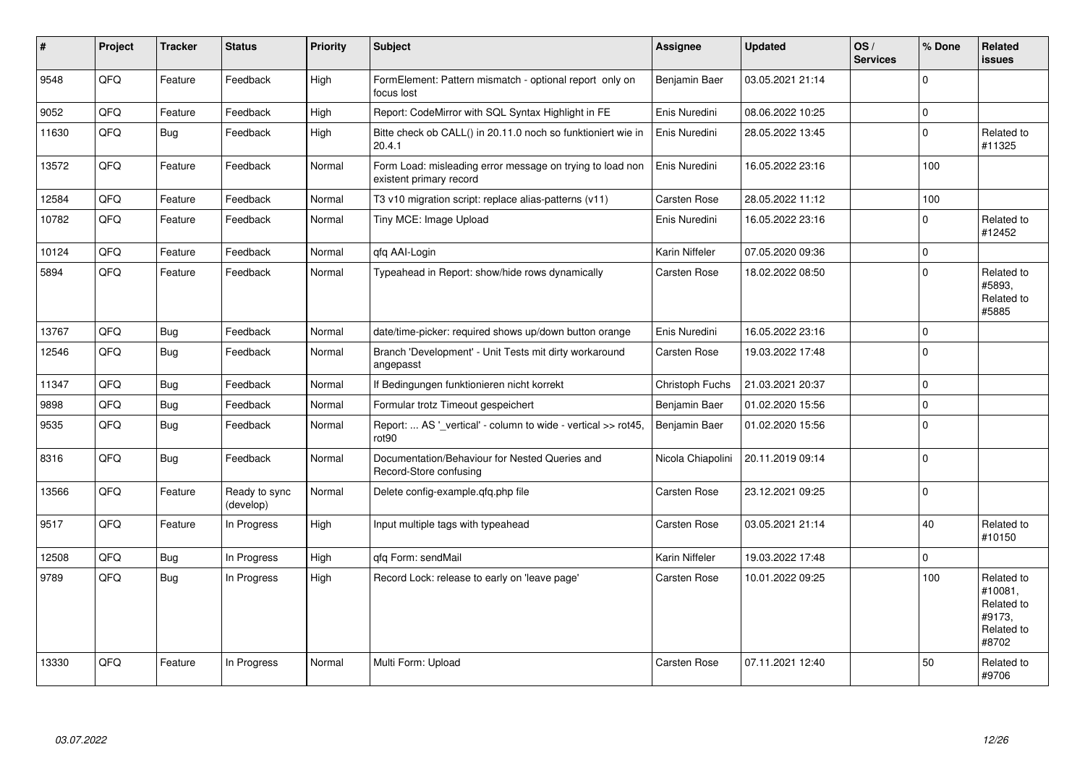| ∦     | Project | <b>Tracker</b> | <b>Status</b>              | <b>Priority</b> | <b>Subject</b>                                                                       | Assignee          | <b>Updated</b>   | OS/<br><b>Services</b> | % Done       | Related<br><b>issues</b>                                             |
|-------|---------|----------------|----------------------------|-----------------|--------------------------------------------------------------------------------------|-------------------|------------------|------------------------|--------------|----------------------------------------------------------------------|
| 9548  | QFQ     | Feature        | Feedback                   | High            | FormElement: Pattern mismatch - optional report only on<br>focus lost                | Benjamin Baer     | 03.05.2021 21:14 |                        | 0            |                                                                      |
| 9052  | QFQ     | Feature        | Feedback                   | High            | Report: CodeMirror with SQL Syntax Highlight in FE                                   | Enis Nuredini     | 08.06.2022 10:25 |                        | $\pmb{0}$    |                                                                      |
| 11630 | QFQ     | <b>Bug</b>     | Feedback                   | High            | Bitte check ob CALL() in 20.11.0 noch so funktioniert wie in<br>20.4.1               | Enis Nuredini     | 28.05.2022 13:45 |                        | $\mathbf 0$  | Related to<br>#11325                                                 |
| 13572 | QFQ     | Feature        | Feedback                   | Normal          | Form Load: misleading error message on trying to load non<br>existent primary record | Enis Nuredini     | 16.05.2022 23:16 |                        | 100          |                                                                      |
| 12584 | QFQ     | Feature        | Feedback                   | Normal          | T3 v10 migration script: replace alias-patterns (v11)                                | Carsten Rose      | 28.05.2022 11:12 |                        | 100          |                                                                      |
| 10782 | QFQ     | Feature        | Feedback                   | Normal          | Tiny MCE: Image Upload                                                               | Enis Nuredini     | 16.05.2022 23:16 |                        | $\mathbf 0$  | Related to<br>#12452                                                 |
| 10124 | QFQ     | Feature        | Feedback                   | Normal          | qfq AAI-Login                                                                        | Karin Niffeler    | 07.05.2020 09:36 |                        | $\pmb{0}$    |                                                                      |
| 5894  | QFQ     | Feature        | Feedback                   | Normal          | Typeahead in Report: show/hide rows dynamically                                      | Carsten Rose      | 18.02.2022 08:50 |                        | $\mathbf 0$  | Related to<br>#5893,<br>Related to<br>#5885                          |
| 13767 | QFQ     | Bug            | Feedback                   | Normal          | date/time-picker: required shows up/down button orange                               | Enis Nuredini     | 16.05.2022 23:16 |                        | $\mathbf 0$  |                                                                      |
| 12546 | QFQ     | <b>Bug</b>     | Feedback                   | Normal          | Branch 'Development' - Unit Tests mit dirty workaround<br>angepasst                  | Carsten Rose      | 19.03.2022 17:48 |                        | $\Omega$     |                                                                      |
| 11347 | QFQ     | <b>Bug</b>     | Feedback                   | Normal          | If Bedingungen funktionieren nicht korrekt                                           | Christoph Fuchs   | 21.03.2021 20:37 |                        | $\mathbf{0}$ |                                                                      |
| 9898  | QFQ     | <b>Bug</b>     | Feedback                   | Normal          | Formular trotz Timeout gespeichert                                                   | Benjamin Baer     | 01.02.2020 15:56 |                        | $\mathbf 0$  |                                                                      |
| 9535  | QFQ     | Bug            | Feedback                   | Normal          | Report:  AS '_vertical' - column to wide - vertical >> rot45,<br>rot <sub>90</sub>   | Benjamin Baer     | 01.02.2020 15:56 |                        | $\mathbf 0$  |                                                                      |
| 8316  | QFQ     | <b>Bug</b>     | Feedback                   | Normal          | Documentation/Behaviour for Nested Queries and<br>Record-Store confusing             | Nicola Chiapolini | 20.11.2019 09:14 |                        | $\mathbf{0}$ |                                                                      |
| 13566 | QFO     | Feature        | Ready to sync<br>(develop) | Normal          | Delete config-example.qfq.php file                                                   | Carsten Rose      | 23.12.2021 09:25 |                        | $\pmb{0}$    |                                                                      |
| 9517  | QFQ     | Feature        | In Progress                | High            | Input multiple tags with typeahead                                                   | Carsten Rose      | 03.05.2021 21:14 |                        | 40           | Related to<br>#10150                                                 |
| 12508 | QFQ     | <b>Bug</b>     | In Progress                | High            | qfq Form: sendMail                                                                   | Karin Niffeler    | 19.03.2022 17:48 |                        | 0            |                                                                      |
| 9789  | QFQ     | <b>Bug</b>     | In Progress                | High            | Record Lock: release to early on 'leave page'                                        | Carsten Rose      | 10.01.2022 09:25 |                        | 100          | Related to<br>#10081.<br>Related to<br>#9173.<br>Related to<br>#8702 |
| 13330 | QFQ     | Feature        | In Progress                | Normal          | Multi Form: Upload                                                                   | Carsten Rose      | 07.11.2021 12:40 |                        | 50           | Related to<br>#9706                                                  |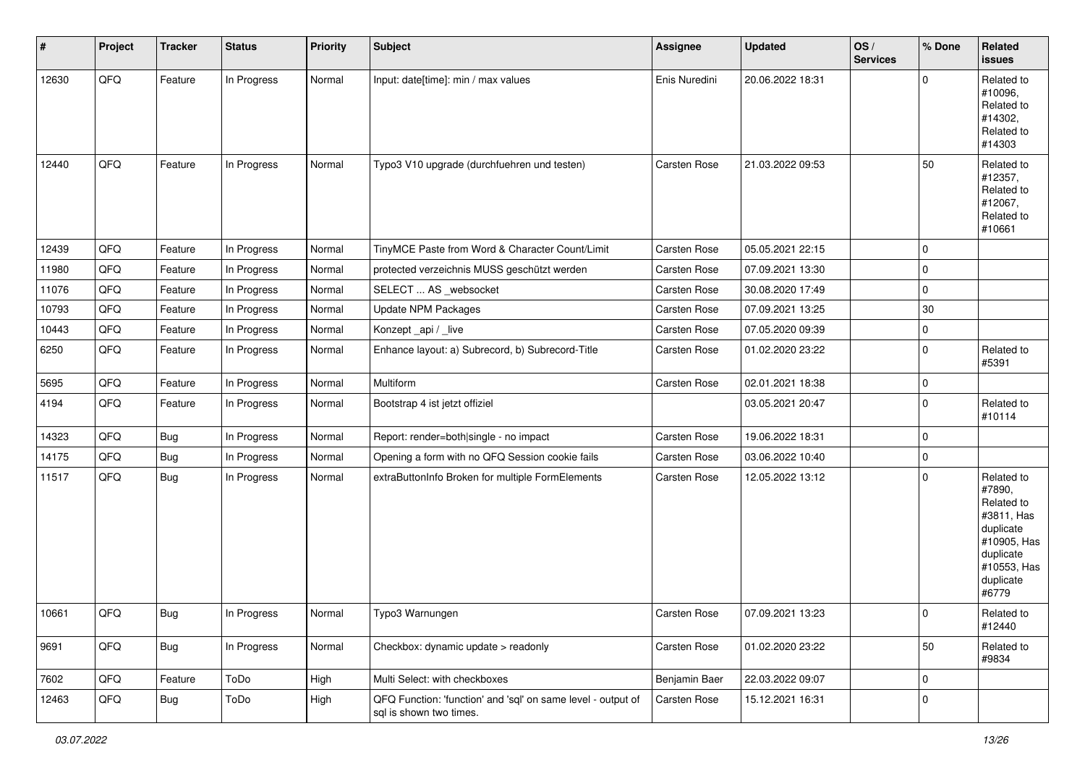| #     | Project | <b>Tracker</b> | <b>Status</b> | <b>Priority</b> | <b>Subject</b>                                                                          | Assignee      | <b>Updated</b>   | OS/<br><b>Services</b> | % Done      | Related<br>issues                                                                                                              |
|-------|---------|----------------|---------------|-----------------|-----------------------------------------------------------------------------------------|---------------|------------------|------------------------|-------------|--------------------------------------------------------------------------------------------------------------------------------|
| 12630 | QFQ     | Feature        | In Progress   | Normal          | Input: date[time]: min / max values                                                     | Enis Nuredini | 20.06.2022 18:31 |                        | $\Omega$    | Related to<br>#10096,<br>Related to<br>#14302,<br>Related to<br>#14303                                                         |
| 12440 | QFQ     | Feature        | In Progress   | Normal          | Typo3 V10 upgrade (durchfuehren und testen)                                             | Carsten Rose  | 21.03.2022 09:53 |                        | 50          | Related to<br>#12357,<br>Related to<br>#12067,<br>Related to<br>#10661                                                         |
| 12439 | QFQ     | Feature        | In Progress   | Normal          | TinyMCE Paste from Word & Character Count/Limit                                         | Carsten Rose  | 05.05.2021 22:15 |                        | $\Omega$    |                                                                                                                                |
| 11980 | QFQ     | Feature        | In Progress   | Normal          | protected verzeichnis MUSS geschützt werden                                             | Carsten Rose  | 07.09.2021 13:30 |                        | $\Omega$    |                                                                                                                                |
| 11076 | QFQ     | Feature        | In Progress   | Normal          | SELECT  AS _websocket                                                                   | Carsten Rose  | 30.08.2020 17:49 |                        | $\Omega$    |                                                                                                                                |
| 10793 | QFQ     | Feature        | In Progress   | Normal          | <b>Update NPM Packages</b>                                                              | Carsten Rose  | 07.09.2021 13:25 |                        | $30\,$      |                                                                                                                                |
| 10443 | QFQ     | Feature        | In Progress   | Normal          | Konzept_api / _live                                                                     | Carsten Rose  | 07.05.2020 09:39 |                        | 0           |                                                                                                                                |
| 6250  | QFQ     | Feature        | In Progress   | Normal          | Enhance layout: a) Subrecord, b) Subrecord-Title                                        | Carsten Rose  | 01.02.2020 23:22 |                        | $\Omega$    | Related to<br>#5391                                                                                                            |
| 5695  | QFQ     | Feature        | In Progress   | Normal          | Multiform                                                                               | Carsten Rose  | 02.01.2021 18:38 |                        | $\mathbf 0$ |                                                                                                                                |
| 4194  | QFQ     | Feature        | In Progress   | Normal          | Bootstrap 4 ist jetzt offiziel                                                          |               | 03.05.2021 20:47 |                        | $\Omega$    | Related to<br>#10114                                                                                                           |
| 14323 | QFQ     | Bug            | In Progress   | Normal          | Report: render=both single - no impact                                                  | Carsten Rose  | 19.06.2022 18:31 |                        | $\mathbf 0$ |                                                                                                                                |
| 14175 | QFQ     | Bug            | In Progress   | Normal          | Opening a form with no QFQ Session cookie fails                                         | Carsten Rose  | 03.06.2022 10:40 |                        | 0           |                                                                                                                                |
| 11517 | QFQ     | <b>Bug</b>     | In Progress   | Normal          | extraButtonInfo Broken for multiple FormElements                                        | Carsten Rose  | 12.05.2022 13:12 |                        | $\mathbf 0$ | Related to<br>#7890,<br>Related to<br>#3811, Has<br>duplicate<br>#10905, Has<br>duplicate<br>#10553, Has<br>duplicate<br>#6779 |
| 10661 | QFQ     | Bug            | In Progress   | Normal          | Typo3 Warnungen                                                                         | Carsten Rose  | 07.09.2021 13:23 |                        | 0           | Related to<br>#12440                                                                                                           |
| 9691  | QFQ     | Bug            | In Progress   | Normal          | Checkbox: dynamic update > readonly                                                     | Carsten Rose  | 01.02.2020 23:22 |                        | 50          | Related to<br>#9834                                                                                                            |
| 7602  | QFQ     | Feature        | ToDo          | High            | Multi Select: with checkboxes                                                           | Benjamin Baer | 22.03.2022 09:07 |                        | $\mathbf 0$ |                                                                                                                                |
| 12463 | QFQ     | Bug            | ToDo          | High            | QFQ Function: 'function' and 'sql' on same level - output of<br>sql is shown two times. | Carsten Rose  | 15.12.2021 16:31 |                        | 0           |                                                                                                                                |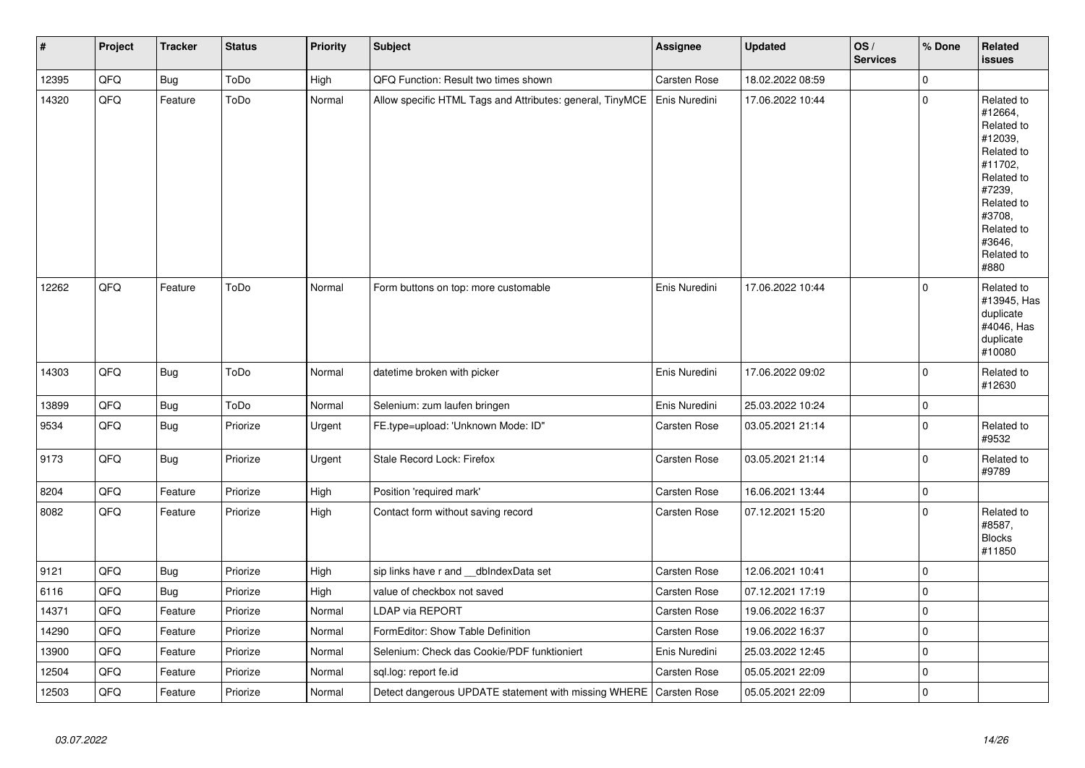| $\vert$ # | Project | <b>Tracker</b> | <b>Status</b> | <b>Priority</b> | <b>Subject</b>                                                      | Assignee      | <b>Updated</b>   | OS/<br><b>Services</b> | % Done       | Related<br>issues                                                                                                                                                     |
|-----------|---------|----------------|---------------|-----------------|---------------------------------------------------------------------|---------------|------------------|------------------------|--------------|-----------------------------------------------------------------------------------------------------------------------------------------------------------------------|
| 12395     | QFQ     | <b>Bug</b>     | ToDo          | High            | QFQ Function: Result two times shown                                | Carsten Rose  | 18.02.2022 08:59 |                        | $\mathbf{0}$ |                                                                                                                                                                       |
| 14320     | QFQ     | Feature        | ToDo          | Normal          | Allow specific HTML Tags and Attributes: general, TinyMCE           | Enis Nuredini | 17.06.2022 10:44 |                        | $\pmb{0}$    | Related to<br>#12664,<br>Related to<br>#12039,<br>Related to<br>#11702.<br>Related to<br>#7239.<br>Related to<br>#3708,<br>Related to<br>#3646,<br>Related to<br>#880 |
| 12262     | QFQ     | Feature        | ToDo          | Normal          | Form buttons on top: more customable                                | Enis Nuredini | 17.06.2022 10:44 |                        | $\mathbf 0$  | Related to<br>#13945, Has<br>duplicate<br>#4046, Has<br>duplicate<br>#10080                                                                                           |
| 14303     | QFQ     | <b>Bug</b>     | ToDo          | Normal          | datetime broken with picker                                         | Enis Nuredini | 17.06.2022 09:02 |                        | $\mathbf 0$  | Related to<br>#12630                                                                                                                                                  |
| 13899     | QFQ     | <b>Bug</b>     | ToDo          | Normal          | Selenium: zum laufen bringen                                        | Enis Nuredini | 25.03.2022 10:24 |                        | $\pmb{0}$    |                                                                                                                                                                       |
| 9534      | QFQ     | <b>Bug</b>     | Priorize      | Urgent          | FE.type=upload: 'Unknown Mode: ID"                                  | Carsten Rose  | 03.05.2021 21:14 |                        | $\mathbf 0$  | Related to<br>#9532                                                                                                                                                   |
| 9173      | QFQ     | <b>Bug</b>     | Priorize      | Urgent          | Stale Record Lock: Firefox                                          | Carsten Rose  | 03.05.2021 21:14 |                        | $\mathbf 0$  | Related to<br>#9789                                                                                                                                                   |
| 8204      | QFQ     | Feature        | Priorize      | High            | Position 'required mark'                                            | Carsten Rose  | 16.06.2021 13:44 |                        | $\pmb{0}$    |                                                                                                                                                                       |
| 8082      | QFQ     | Feature        | Priorize      | High            | Contact form without saving record                                  | Carsten Rose  | 07.12.2021 15:20 |                        | $\pmb{0}$    | Related to<br>#8587,<br><b>Blocks</b><br>#11850                                                                                                                       |
| 9121      | QFQ     | <b>Bug</b>     | Priorize      | High            | sip links have r and __dbIndexData set                              | Carsten Rose  | 12.06.2021 10:41 |                        | $\mathbf{0}$ |                                                                                                                                                                       |
| 6116      | QFQ     | <b>Bug</b>     | Priorize      | High            | value of checkbox not saved                                         | Carsten Rose  | 07.12.2021 17:19 |                        | $\pmb{0}$    |                                                                                                                                                                       |
| 14371     | QFQ     | Feature        | Priorize      | Normal          | LDAP via REPORT                                                     | Carsten Rose  | 19.06.2022 16:37 |                        | $\pmb{0}$    |                                                                                                                                                                       |
| 14290     | QFQ     | Feature        | Priorize      | Normal          | FormEditor: Show Table Definition                                   | Carsten Rose  | 19.06.2022 16:37 |                        | $\pmb{0}$    |                                                                                                                                                                       |
| 13900     | QFQ     | Feature        | Priorize      | Normal          | Selenium: Check das Cookie/PDF funktioniert                         | Enis Nuredini | 25.03.2022 12:45 |                        | $\pmb{0}$    |                                                                                                                                                                       |
| 12504     | QFQ     | Feature        | Priorize      | Normal          | sql.log: report fe.id                                               | Carsten Rose  | 05.05.2021 22:09 |                        | $\pmb{0}$    |                                                                                                                                                                       |
| 12503     | QFQ     | Feature        | Priorize      | Normal          | Detect dangerous UPDATE statement with missing WHERE   Carsten Rose |               | 05.05.2021 22:09 |                        | $\pmb{0}$    |                                                                                                                                                                       |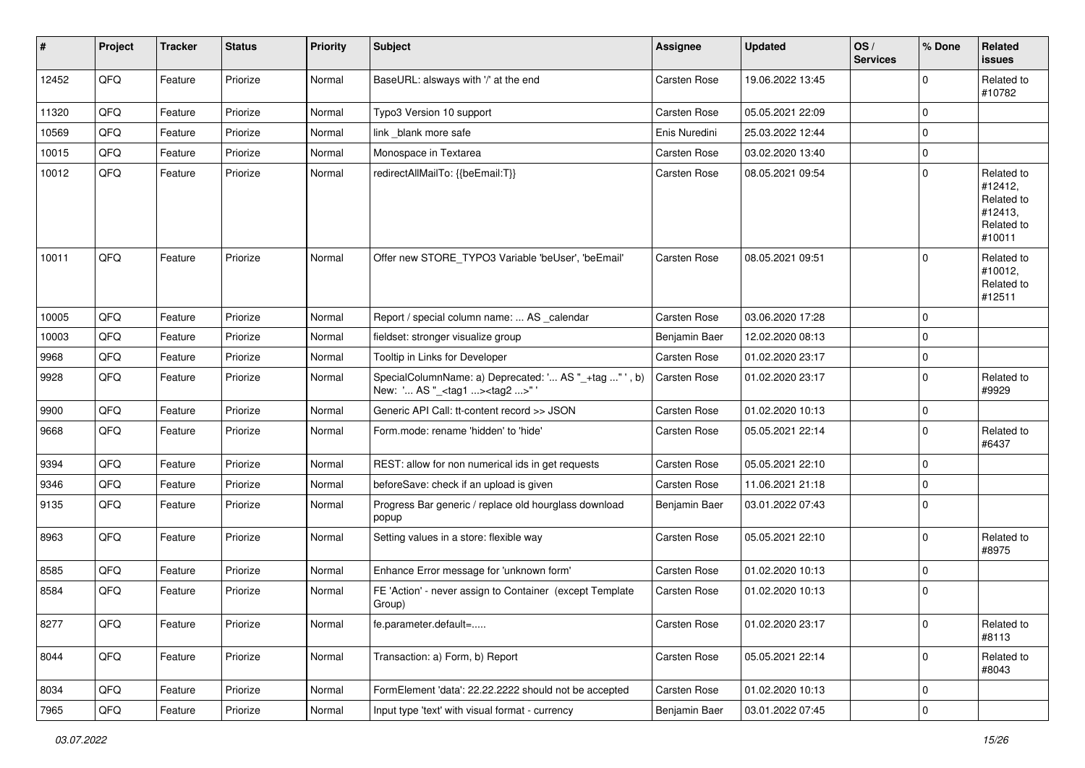| #     | Project | <b>Tracker</b> | <b>Status</b> | <b>Priority</b> | Subject                                                                                           | Assignee            | <b>Updated</b>   | OS/<br><b>Services</b> | % Done      | Related<br><b>issues</b>                                               |
|-------|---------|----------------|---------------|-----------------|---------------------------------------------------------------------------------------------------|---------------------|------------------|------------------------|-------------|------------------------------------------------------------------------|
| 12452 | QFQ     | Feature        | Priorize      | Normal          | BaseURL: alsways with '/' at the end                                                              | Carsten Rose        | 19.06.2022 13:45 |                        | 0           | Related to<br>#10782                                                   |
| 11320 | QFQ     | Feature        | Priorize      | Normal          | Typo3 Version 10 support                                                                          | Carsten Rose        | 05.05.2021 22:09 |                        | 0           |                                                                        |
| 10569 | QFQ     | Feature        | Priorize      | Normal          | link _blank more safe                                                                             | Enis Nuredini       | 25.03.2022 12:44 |                        | 0           |                                                                        |
| 10015 | QFQ     | Feature        | Priorize      | Normal          | Monospace in Textarea                                                                             | Carsten Rose        | 03.02.2020 13:40 |                        | 0           |                                                                        |
| 10012 | QFQ     | Feature        | Priorize      | Normal          | redirectAllMailTo: {{beEmail:T}}                                                                  | <b>Carsten Rose</b> | 08.05.2021 09:54 |                        | $\mathbf 0$ | Related to<br>#12412,<br>Related to<br>#12413,<br>Related to<br>#10011 |
| 10011 | QFQ     | Feature        | Priorize      | Normal          | Offer new STORE_TYPO3 Variable 'beUser', 'beEmail'                                                | <b>Carsten Rose</b> | 08.05.2021 09:51 |                        | 0           | Related to<br>#10012,<br>Related to<br>#12511                          |
| 10005 | QFQ     | Feature        | Priorize      | Normal          | Report / special column name:  AS _calendar                                                       | Carsten Rose        | 03.06.2020 17:28 |                        | $\Omega$    |                                                                        |
| 10003 | QFQ     | Feature        | Priorize      | Normal          | fieldset: stronger visualize group                                                                | Benjamin Baer       | 12.02.2020 08:13 |                        | 0           |                                                                        |
| 9968  | QFQ     | Feature        | Priorize      | Normal          | Tooltip in Links for Developer                                                                    | Carsten Rose        | 01.02.2020 23:17 |                        | 0           |                                                                        |
| 9928  | QFQ     | Feature        | Priorize      | Normal          | SpecialColumnName: a) Deprecated: ' AS "_+tag " ', b)<br>New: ' AS "_ <tag1><tag2>"</tag2></tag1> | Carsten Rose        | 01.02.2020 23:17 |                        | 0           | Related to<br>#9929                                                    |
| 9900  | QFQ     | Feature        | Priorize      | Normal          | Generic API Call: tt-content record >> JSON                                                       | Carsten Rose        | 01.02.2020 10:13 |                        | $\mathbf 0$ |                                                                        |
| 9668  | QFQ     | Feature        | Priorize      | Normal          | Form.mode: rename 'hidden' to 'hide'                                                              | Carsten Rose        | 05.05.2021 22:14 |                        | $\mathbf 0$ | Related to<br>#6437                                                    |
| 9394  | QFQ     | Feature        | Priorize      | Normal          | REST: allow for non numerical ids in get requests                                                 | Carsten Rose        | 05.05.2021 22:10 |                        | 0           |                                                                        |
| 9346  | QFQ     | Feature        | Priorize      | Normal          | beforeSave: check if an upload is given                                                           | Carsten Rose        | 11.06.2021 21:18 |                        | 0           |                                                                        |
| 9135  | QFQ     | Feature        | Priorize      | Normal          | Progress Bar generic / replace old hourglass download<br>popup                                    | Benjamin Baer       | 03.01.2022 07:43 |                        | 0           |                                                                        |
| 8963  | QFQ     | Feature        | Priorize      | Normal          | Setting values in a store: flexible way                                                           | Carsten Rose        | 05.05.2021 22:10 |                        | 0           | Related to<br>#8975                                                    |
| 8585  | QFQ     | Feature        | Priorize      | Normal          | Enhance Error message for 'unknown form'                                                          | Carsten Rose        | 01.02.2020 10:13 |                        | 0           |                                                                        |
| 8584  | QFQ     | Feature        | Priorize      | Normal          | FE 'Action' - never assign to Container (except Template<br>Group)                                | <b>Carsten Rose</b> | 01.02.2020 10:13 |                        | $\mathbf 0$ |                                                                        |
| 8277  | QFO     | Feature        | Priorize      | Normal          | fe.parameter.default=                                                                             | Carsten Rose        | 01.02.2020 23:17 |                        | 0           | Related to<br>#8113                                                    |
| 8044  | QFQ     | Feature        | Priorize      | Normal          | Transaction: a) Form, b) Report                                                                   | Carsten Rose        | 05.05.2021 22:14 |                        | $\mathbf 0$ | Related to<br>#8043                                                    |
| 8034  | QFQ     | Feature        | Priorize      | Normal          | FormElement 'data': 22.22.2222 should not be accepted                                             | Carsten Rose        | 01.02.2020 10:13 |                        | 0           |                                                                        |
| 7965  | QFG     | Feature        | Priorize      | Normal          | Input type 'text' with visual format - currency                                                   | Benjamin Baer       | 03.01.2022 07:45 |                        | $\pmb{0}$   |                                                                        |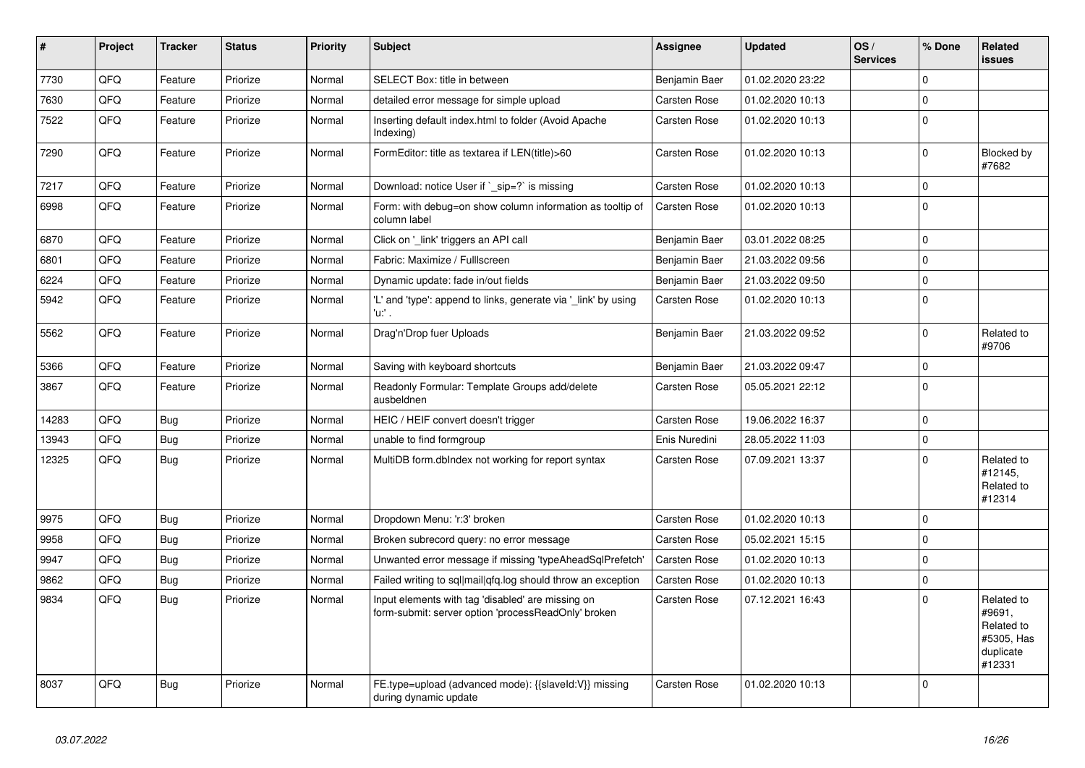| $\sharp$ | Project | <b>Tracker</b> | <b>Status</b> | <b>Priority</b> | <b>Subject</b>                                                                                           | Assignee      | <b>Updated</b>   | OS/<br><b>Services</b> | % Done       | Related<br>issues                                                       |
|----------|---------|----------------|---------------|-----------------|----------------------------------------------------------------------------------------------------------|---------------|------------------|------------------------|--------------|-------------------------------------------------------------------------|
| 7730     | QFQ     | Feature        | Priorize      | Normal          | SELECT Box: title in between                                                                             | Benjamin Baer | 01.02.2020 23:22 |                        | $\Omega$     |                                                                         |
| 7630     | QFQ     | Feature        | Priorize      | Normal          | detailed error message for simple upload                                                                 | Carsten Rose  | 01.02.2020 10:13 |                        | $\mathbf 0$  |                                                                         |
| 7522     | QFQ     | Feature        | Priorize      | Normal          | Inserting default index.html to folder (Avoid Apache<br>Indexing)                                        | Carsten Rose  | 01.02.2020 10:13 |                        | $\mathbf 0$  |                                                                         |
| 7290     | QFQ     | Feature        | Priorize      | Normal          | FormEditor: title as textarea if LEN(title)>60                                                           | Carsten Rose  | 01.02.2020 10:13 |                        | $\mathbf{0}$ | Blocked by<br>#7682                                                     |
| 7217     | QFQ     | Feature        | Priorize      | Normal          | Download: notice User if `_sip=?` is missing                                                             | Carsten Rose  | 01.02.2020 10:13 |                        | $\mathbf 0$  |                                                                         |
| 6998     | QFQ     | Feature        | Priorize      | Normal          | Form: with debug=on show column information as tooltip of<br>column label                                | Carsten Rose  | 01.02.2020 10:13 |                        | $\mathbf 0$  |                                                                         |
| 6870     | QFQ     | Feature        | Priorize      | Normal          | Click on '_link' triggers an API call                                                                    | Benjamin Baer | 03.01.2022 08:25 |                        | $\mathbf{0}$ |                                                                         |
| 6801     | QFQ     | Feature        | Priorize      | Normal          | Fabric: Maximize / FullIscreen                                                                           | Benjamin Baer | 21.03.2022 09:56 |                        | $\mathbf{0}$ |                                                                         |
| 6224     | QFQ     | Feature        | Priorize      | Normal          | Dynamic update: fade in/out fields                                                                       | Benjamin Baer | 21.03.2022 09:50 |                        | 0            |                                                                         |
| 5942     | QFQ     | Feature        | Priorize      | Normal          | 'L' and 'type': append to links, generate via 'link' by using<br>'u:' .                                  | Carsten Rose  | 01.02.2020 10:13 |                        | $\mathbf 0$  |                                                                         |
| 5562     | QFQ     | Feature        | Priorize      | Normal          | Drag'n'Drop fuer Uploads                                                                                 | Benjamin Baer | 21.03.2022 09:52 |                        | $\mathbf 0$  | Related to<br>#9706                                                     |
| 5366     | QFQ     | Feature        | Priorize      | Normal          | Saving with keyboard shortcuts                                                                           | Benjamin Baer | 21.03.2022 09:47 |                        | $\pmb{0}$    |                                                                         |
| 3867     | QFQ     | Feature        | Priorize      | Normal          | Readonly Formular: Template Groups add/delete<br>ausbeldnen                                              | Carsten Rose  | 05.05.2021 22:12 |                        | $\Omega$     |                                                                         |
| 14283    | QFQ     | Bug            | Priorize      | Normal          | HEIC / HEIF convert doesn't trigger                                                                      | Carsten Rose  | 19.06.2022 16:37 |                        | $\mathbf 0$  |                                                                         |
| 13943    | QFQ     | Bug            | Priorize      | Normal          | unable to find formgroup                                                                                 | Enis Nuredini | 28.05.2022 11:03 |                        | $\mathbf{0}$ |                                                                         |
| 12325    | QFQ     | Bug            | Priorize      | Normal          | MultiDB form.dblndex not working for report syntax                                                       | Carsten Rose  | 07.09.2021 13:37 |                        | $\mathbf 0$  | Related to<br>#12145,<br>Related to<br>#12314                           |
| 9975     | QFQ     | Bug            | Priorize      | Normal          | Dropdown Menu: 'r:3' broken                                                                              | Carsten Rose  | 01.02.2020 10:13 |                        | $\Omega$     |                                                                         |
| 9958     | QFQ     | <b>Bug</b>     | Priorize      | Normal          | Broken subrecord query: no error message                                                                 | Carsten Rose  | 05.02.2021 15:15 |                        | $\mathbf{0}$ |                                                                         |
| 9947     | QFQ     | Bug            | Priorize      | Normal          | Unwanted error message if missing 'typeAheadSqlPrefetch'                                                 | Carsten Rose  | 01.02.2020 10:13 |                        | $\mathbf 0$  |                                                                         |
| 9862     | QFQ     | <b>Bug</b>     | Priorize      | Normal          | Failed writing to sql mail qfq.log should throw an exception                                             | Carsten Rose  | 01.02.2020 10:13 |                        | $\pmb{0}$    |                                                                         |
| 9834     | QFQ     | <b>Bug</b>     | Priorize      | Normal          | Input elements with tag 'disabled' are missing on<br>form-submit: server option 'processReadOnly' broken | Carsten Rose  | 07.12.2021 16:43 |                        | $\mathbf 0$  | Related to<br>#9691,<br>Related to<br>#5305, Has<br>duplicate<br>#12331 |
| 8037     | QFQ     | <b>Bug</b>     | Priorize      | Normal          | FE.type=upload (advanced mode): {{slaveld:V}} missing<br>during dynamic update                           | Carsten Rose  | 01.02.2020 10:13 |                        | $\mathbf 0$  |                                                                         |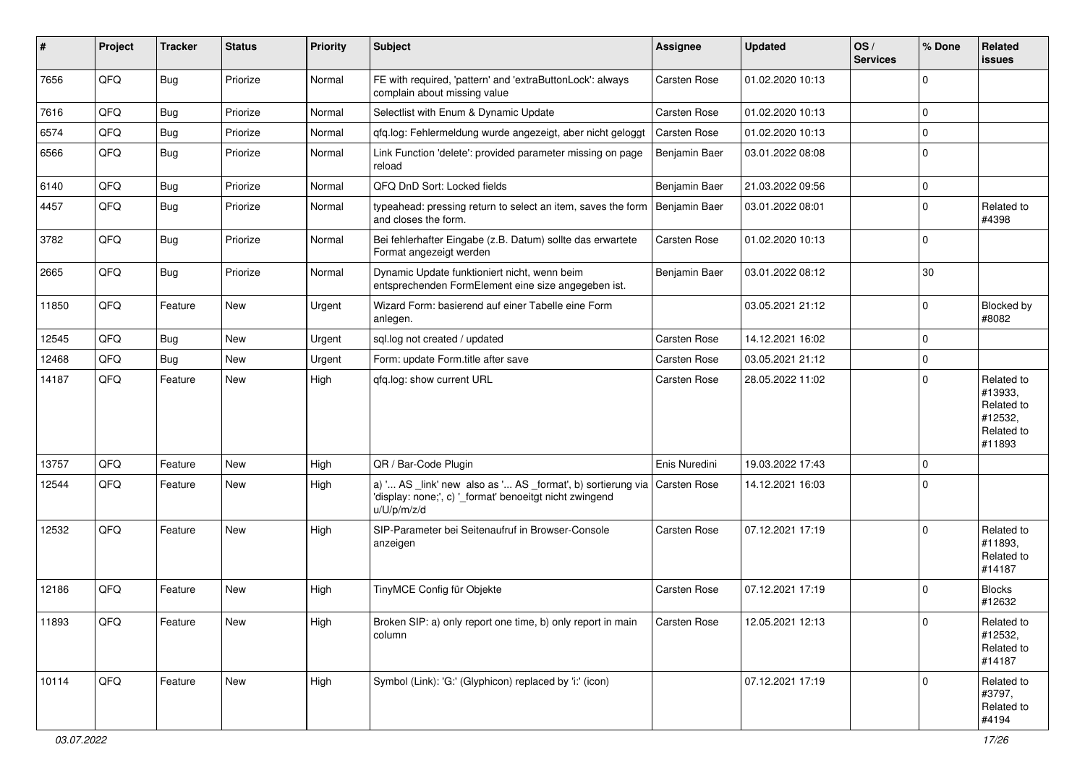| #     | Project | <b>Tracker</b> | <b>Status</b> | <b>Priority</b> | Subject                                                                                                                               | Assignee            | <b>Updated</b>   | OS/<br><b>Services</b> | % Done       | Related<br>issues                                                      |
|-------|---------|----------------|---------------|-----------------|---------------------------------------------------------------------------------------------------------------------------------------|---------------------|------------------|------------------------|--------------|------------------------------------------------------------------------|
| 7656  | QFQ     | Bug            | Priorize      | Normal          | FE with required, 'pattern' and 'extraButtonLock': always<br>complain about missing value                                             | Carsten Rose        | 01.02.2020 10:13 |                        | $\mathbf 0$  |                                                                        |
| 7616  | QFQ     | <b>Bug</b>     | Priorize      | Normal          | Selectlist with Enum & Dynamic Update                                                                                                 | Carsten Rose        | 01.02.2020 10:13 |                        | $\mathbf 0$  |                                                                        |
| 6574  | QFQ     | Bug            | Priorize      | Normal          | qfq.log: Fehlermeldung wurde angezeigt, aber nicht geloggt                                                                            | Carsten Rose        | 01.02.2020 10:13 |                        | 0            |                                                                        |
| 6566  | QFQ     | <b>Bug</b>     | Priorize      | Normal          | Link Function 'delete': provided parameter missing on page<br>reload                                                                  | Benjamin Baer       | 03.01.2022 08:08 |                        | $\mathbf 0$  |                                                                        |
| 6140  | QFQ     | <b>Bug</b>     | Priorize      | Normal          | QFQ DnD Sort: Locked fields                                                                                                           | Benjamin Baer       | 21.03.2022 09:56 |                        | $\pmb{0}$    |                                                                        |
| 4457  | QFQ     | Bug            | Priorize      | Normal          | typeahead: pressing return to select an item, saves the form<br>and closes the form.                                                  | Benjamin Baer       | 03.01.2022 08:01 |                        | $\mathbf 0$  | Related to<br>#4398                                                    |
| 3782  | QFQ     | Bug            | Priorize      | Normal          | Bei fehlerhafter Eingabe (z.B. Datum) sollte das erwartete<br>Format angezeigt werden                                                 | Carsten Rose        | 01.02.2020 10:13 |                        | $\mathbf 0$  |                                                                        |
| 2665  | QFQ     | <b>Bug</b>     | Priorize      | Normal          | Dynamic Update funktioniert nicht, wenn beim<br>entsprechenden FormElement eine size angegeben ist.                                   | Benjamin Baer       | 03.01.2022 08:12 |                        | 30           |                                                                        |
| 11850 | QFQ     | Feature        | New           | Urgent          | Wizard Form: basierend auf einer Tabelle eine Form<br>anlegen.                                                                        |                     | 03.05.2021 21:12 |                        | $\mathbf 0$  | Blocked by<br>#8082                                                    |
| 12545 | QFQ     | <b>Bug</b>     | New           | Urgent          | sql.log not created / updated                                                                                                         | Carsten Rose        | 14.12.2021 16:02 |                        | 0            |                                                                        |
| 12468 | QFQ     | <b>Bug</b>     | New           | Urgent          | Form: update Form.title after save                                                                                                    | Carsten Rose        | 03.05.2021 21:12 |                        | $\pmb{0}$    |                                                                        |
| 14187 | QFQ     | Feature        | New           | High            | qfq.log: show current URL                                                                                                             | Carsten Rose        | 28.05.2022 11:02 |                        | $\mathbf 0$  | Related to<br>#13933,<br>Related to<br>#12532,<br>Related to<br>#11893 |
| 13757 | QFQ     | Feature        | New           | High            | QR / Bar-Code Plugin                                                                                                                  | Enis Nuredini       | 19.03.2022 17:43 |                        | $\mathbf{0}$ |                                                                        |
| 12544 | QFQ     | Feature        | New           | High            | a) ' AS _link' new also as ' AS _format', b) sortierung via<br>'display: none;', c) '_format' benoeitgt nicht zwingend<br>u/U/p/m/z/d | Carsten Rose        | 14.12.2021 16:03 |                        | $\mathbf 0$  |                                                                        |
| 12532 | QFQ     | Feature        | New           | High            | SIP-Parameter bei Seitenaufruf in Browser-Console<br>anzeigen                                                                         | <b>Carsten Rose</b> | 07.12.2021 17:19 |                        | $\mathbf 0$  | Related to<br>#11893,<br>Related to<br>#14187                          |
| 12186 | QFQ     | Feature        | <b>New</b>    | High            | TinyMCE Config für Objekte                                                                                                            | <b>Carsten Rose</b> | 07.12.2021 17:19 |                        | $\mathbf 0$  | <b>Blocks</b><br>#12632                                                |
| 11893 | QFQ     | Feature        | New           | High            | Broken SIP: a) only report one time, b) only report in main<br>column                                                                 | Carsten Rose        | 12.05.2021 12:13 |                        | $\mathbf 0$  | Related to<br>#12532,<br>Related to<br>#14187                          |
| 10114 | QFQ     | Feature        | New           | High            | Symbol (Link): 'G:' (Glyphicon) replaced by 'i:' (icon)                                                                               |                     | 07.12.2021 17:19 |                        | $\mathbf 0$  | Related to<br>#3797,<br>Related to<br>#4194                            |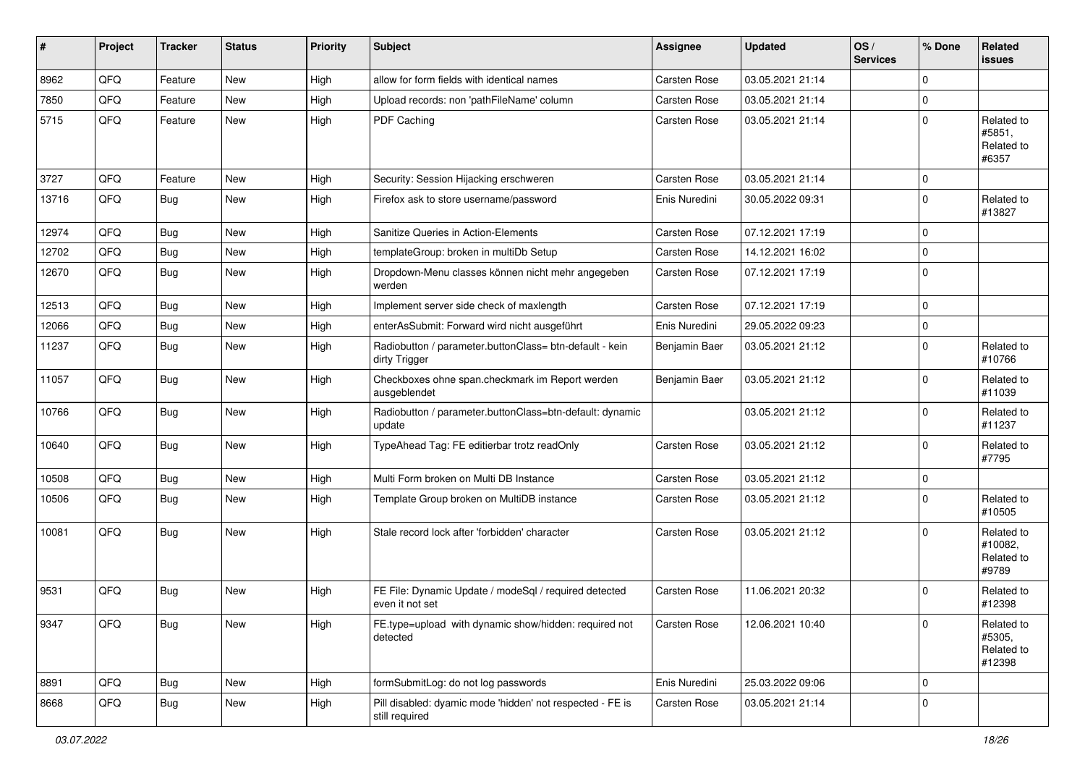| #     | Project | <b>Tracker</b> | <b>Status</b> | Priority | <b>Subject</b>                                                              | Assignee            | <b>Updated</b>   | OS/<br><b>Services</b> | % Done      | Related<br>issues                            |
|-------|---------|----------------|---------------|----------|-----------------------------------------------------------------------------|---------------------|------------------|------------------------|-------------|----------------------------------------------|
| 8962  | QFQ     | Feature        | <b>New</b>    | High     | allow for form fields with identical names                                  | Carsten Rose        | 03.05.2021 21:14 |                        | 0           |                                              |
| 7850  | QFQ     | Feature        | New           | High     | Upload records: non 'pathFileName' column                                   | Carsten Rose        | 03.05.2021 21:14 |                        | $\mathbf 0$ |                                              |
| 5715  | QFQ     | Feature        | New           | High     | PDF Caching                                                                 | Carsten Rose        | 03.05.2021 21:14 |                        | $\mathbf 0$ | Related to<br>#5851,<br>Related to<br>#6357  |
| 3727  | QFQ     | Feature        | <b>New</b>    | High     | Security: Session Hijacking erschweren                                      | <b>Carsten Rose</b> | 03.05.2021 21:14 |                        | $\mathbf 0$ |                                              |
| 13716 | QFQ     | Bug            | <b>New</b>    | High     | Firefox ask to store username/password                                      | Enis Nuredini       | 30.05.2022 09:31 |                        | $\mathbf 0$ | Related to<br>#13827                         |
| 12974 | QFQ     | Bug            | New           | High     | Sanitize Queries in Action-Elements                                         | Carsten Rose        | 07.12.2021 17:19 |                        | $\mathbf 0$ |                                              |
| 12702 | QFQ     | Bug            | <b>New</b>    | High     | templateGroup: broken in multiDb Setup                                      | Carsten Rose        | 14.12.2021 16:02 |                        | $\mathbf 0$ |                                              |
| 12670 | QFQ     | Bug            | <b>New</b>    | High     | Dropdown-Menu classes können nicht mehr angegeben<br>werden                 | Carsten Rose        | 07.12.2021 17:19 |                        | $\mathbf 0$ |                                              |
| 12513 | QFQ     | <b>Bug</b>     | <b>New</b>    | High     | Implement server side check of maxlength                                    | Carsten Rose        | 07.12.2021 17:19 |                        | $\pmb{0}$   |                                              |
| 12066 | QFQ     | <b>Bug</b>     | <b>New</b>    | High     | enterAsSubmit: Forward wird nicht ausgeführt                                | Enis Nuredini       | 29.05.2022 09:23 |                        | $\mathbf 0$ |                                              |
| 11237 | QFQ     | Bug            | New           | High     | Radiobutton / parameter.buttonClass= btn-default - kein<br>dirty Trigger    | Benjamin Baer       | 03.05.2021 21:12 |                        | $\mathbf 0$ | Related to<br>#10766                         |
| 11057 | QFQ     | Bug            | New           | High     | Checkboxes ohne span.checkmark im Report werden<br>ausgeblendet             | Benjamin Baer       | 03.05.2021 21:12 |                        | $\mathbf 0$ | Related to<br>#11039                         |
| 10766 | QFQ     | Bug            | <b>New</b>    | High     | Radiobutton / parameter.buttonClass=btn-default: dynamic<br>update          |                     | 03.05.2021 21:12 |                        | $\mathbf 0$ | Related to<br>#11237                         |
| 10640 | QFQ     | Bug            | <b>New</b>    | High     | TypeAhead Tag: FE editierbar trotz readOnly                                 | Carsten Rose        | 03.05.2021 21:12 |                        | $\mathbf 0$ | Related to<br>#7795                          |
| 10508 | QFQ     | <b>Bug</b>     | <b>New</b>    | High     | Multi Form broken on Multi DB Instance                                      | <b>Carsten Rose</b> | 03.05.2021 21:12 |                        | $\mathbf 0$ |                                              |
| 10506 | QFQ     | Bug            | New           | High     | Template Group broken on MultiDB instance                                   | Carsten Rose        | 03.05.2021 21:12 |                        | $\mathbf 0$ | Related to<br>#10505                         |
| 10081 | QFQ     | Bug            | <b>New</b>    | High     | Stale record lock after 'forbidden' character                               | <b>Carsten Rose</b> | 03.05.2021 21:12 |                        | $\mathbf 0$ | Related to<br>#10082,<br>Related to<br>#9789 |
| 9531  | QFQ     | Bug            | New           | High     | FE File: Dynamic Update / modeSql / required detected<br>even it not set    | Carsten Rose        | 11.06.2021 20:32 |                        | $\mathbf 0$ | Related to<br>#12398                         |
| 9347  | QFQ     | Bug            | New           | High     | FE.type=upload with dynamic show/hidden: required not<br>detected           | Carsten Rose        | 12.06.2021 10:40 |                        | $\mathbf 0$ | Related to<br>#5305,<br>Related to<br>#12398 |
| 8891  | QFQ     | Bug            | New           | High     | formSubmitLog: do not log passwords                                         | Enis Nuredini       | 25.03.2022 09:06 |                        | $\mathbf 0$ |                                              |
| 8668  | QFQ     | Bug            | New           | High     | Pill disabled: dyamic mode 'hidden' not respected - FE is<br>still required | Carsten Rose        | 03.05.2021 21:14 |                        | $\pmb{0}$   |                                              |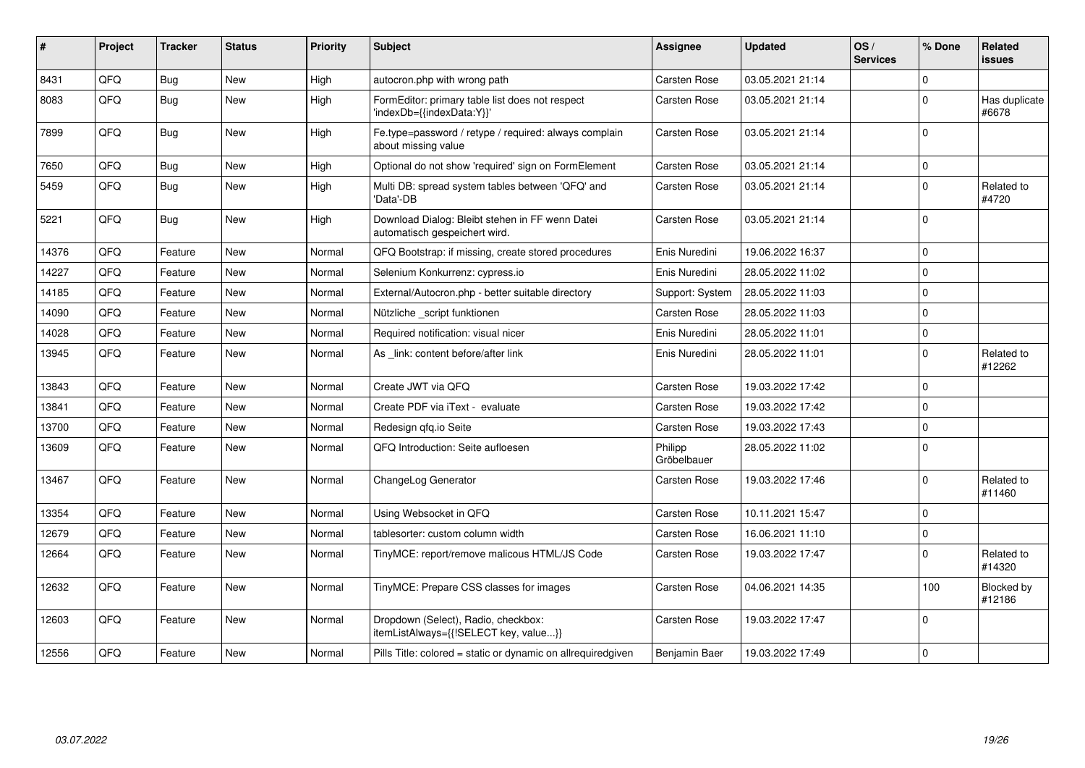| #     | Project | <b>Tracker</b> | <b>Status</b> | Priority | Subject                                                                          | Assignee               | <b>Updated</b>   | OS/<br><b>Services</b> | % Done       | <b>Related</b><br><b>issues</b> |
|-------|---------|----------------|---------------|----------|----------------------------------------------------------------------------------|------------------------|------------------|------------------------|--------------|---------------------------------|
| 8431  | QFQ     | Bug            | <b>New</b>    | High     | autocron.php with wrong path                                                     | Carsten Rose           | 03.05.2021 21:14 |                        | 0            |                                 |
| 8083  | QFQ     | Bug            | <b>New</b>    | High     | FormEditor: primary table list does not respect<br>'indexDb={{indexData:Y}}'     | <b>Carsten Rose</b>    | 03.05.2021 21:14 |                        | $\pmb{0}$    | Has duplicate<br>#6678          |
| 7899  | QFQ     | Bug            | <b>New</b>    | High     | Fe.type=password / retype / required: always complain<br>about missing value     | Carsten Rose           | 03.05.2021 21:14 |                        | $\mathbf{0}$ |                                 |
| 7650  | QFQ     | <b>Bug</b>     | <b>New</b>    | High     | Optional do not show 'required' sign on FormElement                              | Carsten Rose           | 03.05.2021 21:14 |                        | 0            |                                 |
| 5459  | QFQ     | <b>Bug</b>     | <b>New</b>    | High     | Multi DB: spread system tables between 'QFQ' and<br>'Data'-DB                    | Carsten Rose           | 03.05.2021 21:14 |                        | 0            | Related to<br>#4720             |
| 5221  | QFQ     | Bug            | <b>New</b>    | High     | Download Dialog: Bleibt stehen in FF wenn Datei<br>automatisch gespeichert wird. | Carsten Rose           | 03.05.2021 21:14 |                        | $\mathbf{0}$ |                                 |
| 14376 | QFQ     | Feature        | <b>New</b>    | Normal   | QFQ Bootstrap: if missing, create stored procedures                              | Enis Nuredini          | 19.06.2022 16:37 |                        | $\pmb{0}$    |                                 |
| 14227 | QFQ     | Feature        | <b>New</b>    | Normal   | Selenium Konkurrenz: cypress.io                                                  | Enis Nuredini          | 28.05.2022 11:02 |                        | $\pmb{0}$    |                                 |
| 14185 | QFQ     | Feature        | <b>New</b>    | Normal   | External/Autocron.php - better suitable directory                                | Support: System        | 28.05.2022 11:03 |                        | $\mathbf 0$  |                                 |
| 14090 | QFQ     | Feature        | <b>New</b>    | Normal   | Nützliche script funktionen                                                      | Carsten Rose           | 28.05.2022 11:03 |                        | 0            |                                 |
| 14028 | QFQ     | Feature        | <b>New</b>    | Normal   | Required notification: visual nicer                                              | Enis Nuredini          | 28.05.2022 11:01 |                        | 0            |                                 |
| 13945 | QFQ     | Feature        | New           | Normal   | As link: content before/after link                                               | Enis Nuredini          | 28.05.2022 11:01 |                        | $\pmb{0}$    | Related to<br>#12262            |
| 13843 | QFQ     | Feature        | <b>New</b>    | Normal   | Create JWT via QFQ                                                               | <b>Carsten Rose</b>    | 19.03.2022 17:42 |                        | $\mathbf{0}$ |                                 |
| 13841 | QFQ     | Feature        | <b>New</b>    | Normal   | Create PDF via iText - evaluate                                                  | Carsten Rose           | 19.03.2022 17:42 |                        | $\pmb{0}$    |                                 |
| 13700 | QFQ     | Feature        | <b>New</b>    | Normal   | Redesign gfg.io Seite                                                            | Carsten Rose           | 19.03.2022 17:43 |                        | $\pmb{0}$    |                                 |
| 13609 | QFQ     | Feature        | <b>New</b>    | Normal   | QFQ Introduction: Seite aufloesen                                                | Philipp<br>Gröbelbauer | 28.05.2022 11:02 |                        | $\mathbf 0$  |                                 |
| 13467 | QFQ     | Feature        | <b>New</b>    | Normal   | ChangeLog Generator                                                              | Carsten Rose           | 19.03.2022 17:46 |                        | 0            | Related to<br>#11460            |
| 13354 | QFQ     | Feature        | <b>New</b>    | Normal   | Using Websocket in QFQ                                                           | Carsten Rose           | 10.11.2021 15:47 |                        | $\pmb{0}$    |                                 |
| 12679 | QFQ     | Feature        | <b>New</b>    | Normal   | tablesorter: custom column width                                                 | <b>Carsten Rose</b>    | 16.06.2021 11:10 |                        | $\pmb{0}$    |                                 |
| 12664 | QFQ     | Feature        | <b>New</b>    | Normal   | TinyMCE: report/remove malicous HTML/JS Code                                     | Carsten Rose           | 19.03.2022 17:47 |                        | $\mathbf 0$  | Related to<br>#14320            |
| 12632 | QFQ     | Feature        | <b>New</b>    | Normal   | TinyMCE: Prepare CSS classes for images                                          | Carsten Rose           | 04.06.2021 14:35 |                        | 100          | Blocked by<br>#12186            |
| 12603 | QFQ     | Feature        | <b>New</b>    | Normal   | Dropdown (Select), Radio, checkbox:<br>itemListAlways={{!SELECT key, value}}     | <b>Carsten Rose</b>    | 19.03.2022 17:47 |                        | $\mathbf 0$  |                                 |
| 12556 | QFQ     | Feature        | <b>New</b>    | Normal   | Pills Title: colored = static or dynamic on allrequiredgiven                     | Benjamin Baer          | 19.03.2022 17:49 |                        | $\pmb{0}$    |                                 |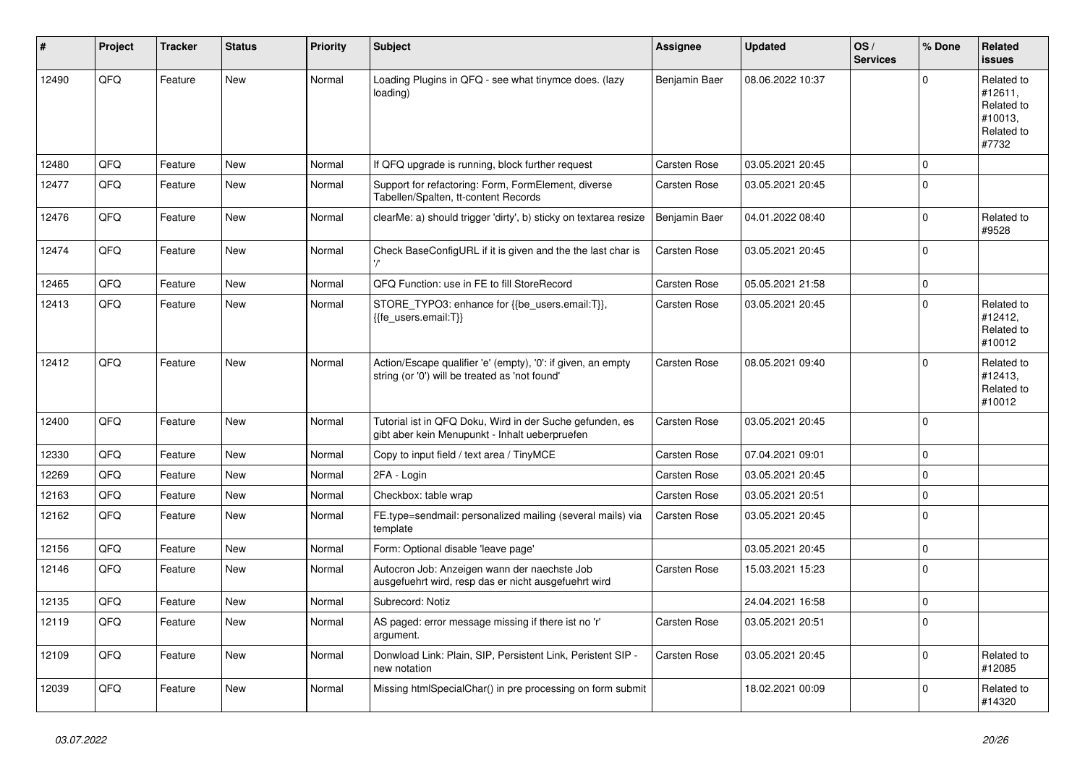| #     | Project | <b>Tracker</b> | <b>Status</b> | <b>Priority</b> | <b>Subject</b>                                                                                                 | <b>Assignee</b>     | <b>Updated</b>   | OS/<br><b>Services</b> | % Done       | Related<br><b>issues</b>                                              |
|-------|---------|----------------|---------------|-----------------|----------------------------------------------------------------------------------------------------------------|---------------------|------------------|------------------------|--------------|-----------------------------------------------------------------------|
| 12490 | QFQ     | Feature        | <b>New</b>    | Normal          | Loading Plugins in QFQ - see what tinymce does. (lazy<br>loading)                                              | Benjamin Baer       | 08.06.2022 10:37 |                        | $\mathbf{0}$ | Related to<br>#12611,<br>Related to<br>#10013,<br>Related to<br>#7732 |
| 12480 | QFQ     | Feature        | <b>New</b>    | Normal          | If QFQ upgrade is running, block further request                                                               | Carsten Rose        | 03.05.2021 20:45 |                        | 0            |                                                                       |
| 12477 | QFQ     | Feature        | New           | Normal          | Support for refactoring: Form, FormElement, diverse<br>Tabellen/Spalten, tt-content Records                    | Carsten Rose        | 03.05.2021 20:45 |                        | 0            |                                                                       |
| 12476 | QFQ     | Feature        | New           | Normal          | clearMe: a) should trigger 'dirty', b) sticky on textarea resize                                               | Benjamin Baer       | 04.01.2022 08:40 |                        | $\mathbf{0}$ | Related to<br>#9528                                                   |
| 12474 | QFQ     | Feature        | <b>New</b>    | Normal          | Check BaseConfigURL if it is given and the the last char is                                                    | Carsten Rose        | 03.05.2021 20:45 |                        | $\mathbf 0$  |                                                                       |
| 12465 | QFQ     | Feature        | <b>New</b>    | Normal          | QFQ Function: use in FE to fill StoreRecord                                                                    | <b>Carsten Rose</b> | 05.05.2021 21:58 |                        | $\mathbf 0$  |                                                                       |
| 12413 | QFQ     | Feature        | <b>New</b>    | Normal          | STORE_TYPO3: enhance for {{be_users.email:T}},<br>{{fe users.email:T}}                                         | <b>Carsten Rose</b> | 03.05.2021 20:45 |                        | $\mathbf 0$  | Related to<br>#12412,<br>Related to<br>#10012                         |
| 12412 | QFQ     | Feature        | New           | Normal          | Action/Escape qualifier 'e' (empty), '0': if given, an empty<br>string (or '0') will be treated as 'not found' | <b>Carsten Rose</b> | 08.05.2021 09:40 |                        | $\Omega$     | Related to<br>#12413,<br>Related to<br>#10012                         |
| 12400 | QFQ     | Feature        | <b>New</b>    | Normal          | Tutorial ist in QFQ Doku, Wird in der Suche gefunden, es<br>gibt aber kein Menupunkt - Inhalt ueberpruefen     | Carsten Rose        | 03.05.2021 20:45 |                        | $\Omega$     |                                                                       |
| 12330 | QFQ     | Feature        | <b>New</b>    | Normal          | Copy to input field / text area / TinyMCE                                                                      | Carsten Rose        | 07.04.2021 09:01 |                        | 0            |                                                                       |
| 12269 | QFQ     | Feature        | <b>New</b>    | Normal          | 2FA - Login                                                                                                    | Carsten Rose        | 03.05.2021 20:45 |                        | $\mathbf 0$  |                                                                       |
| 12163 | QFQ     | Feature        | New           | Normal          | Checkbox: table wrap                                                                                           | Carsten Rose        | 03.05.2021 20:51 |                        | $\pmb{0}$    |                                                                       |
| 12162 | QFQ     | Feature        | New           | Normal          | FE.type=sendmail: personalized mailing (several mails) via<br>template                                         | Carsten Rose        | 03.05.2021 20:45 |                        | $\mathbf 0$  |                                                                       |
| 12156 | QFQ     | Feature        | New           | Normal          | Form: Optional disable 'leave page'                                                                            |                     | 03.05.2021 20:45 |                        | $\pmb{0}$    |                                                                       |
| 12146 | QFQ     | Feature        | New           | Normal          | Autocron Job: Anzeigen wann der naechste Job<br>ausgefuehrt wird, resp das er nicht ausgefuehrt wird           | Carsten Rose        | 15.03.2021 15:23 |                        | $\pmb{0}$    |                                                                       |
| 12135 | QFQ     | Feature        | <b>New</b>    | Normal          | Subrecord: Notiz                                                                                               |                     | 24.04.2021 16:58 |                        | $\pmb{0}$    |                                                                       |
| 12119 | QFQ     | Feature        | New           | Normal          | AS paged: error message missing if there ist no 'r'<br>argument.                                               | Carsten Rose        | 03.05.2021 20:51 |                        | $\pmb{0}$    |                                                                       |
| 12109 | QFQ     | Feature        | New           | Normal          | Donwload Link: Plain, SIP, Persistent Link, Peristent SIP -<br>new notation                                    | Carsten Rose        | 03.05.2021 20:45 |                        | $\pmb{0}$    | Related to<br>#12085                                                  |
| 12039 | QFQ     | Feature        | New           | Normal          | Missing htmlSpecialChar() in pre processing on form submit                                                     |                     | 18.02.2021 00:09 |                        | 0            | Related to<br>#14320                                                  |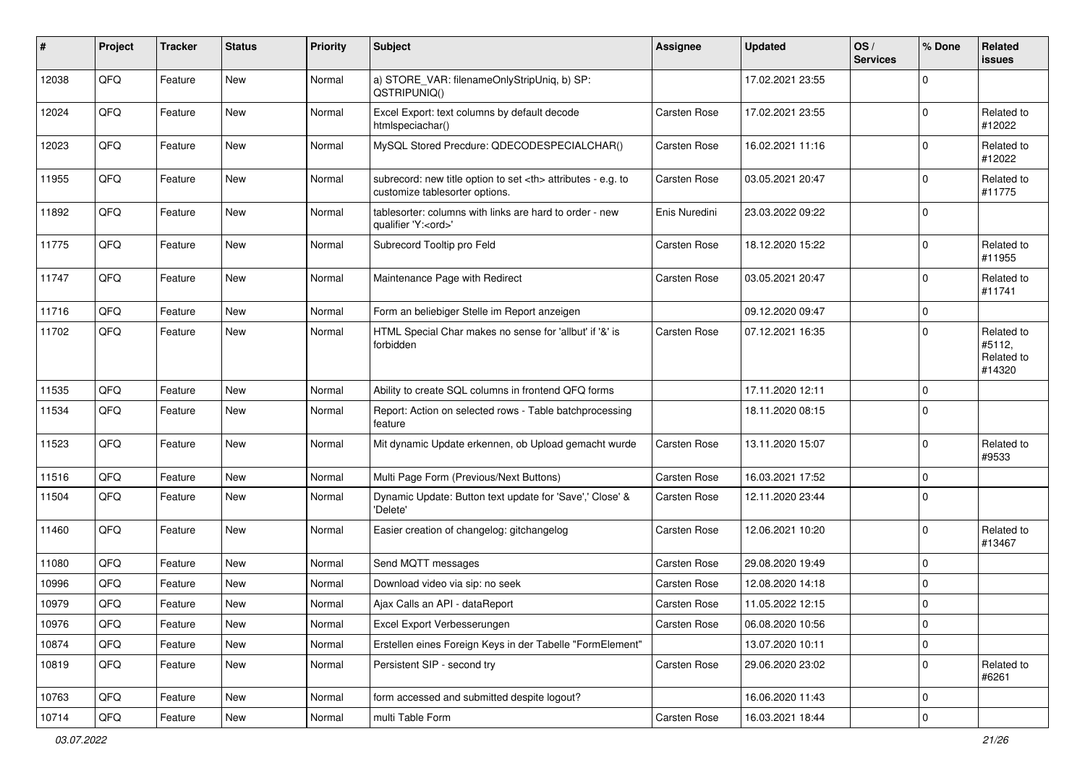| $\vert$ # | Project | <b>Tracker</b> | <b>Status</b> | <b>Priority</b> | <b>Subject</b>                                                                                       | <b>Assignee</b>                                        | <b>Updated</b>      | OS/<br><b>Services</b> | % Done      | Related<br>issues                            |                      |
|-----------|---------|----------------|---------------|-----------------|------------------------------------------------------------------------------------------------------|--------------------------------------------------------|---------------------|------------------------|-------------|----------------------------------------------|----------------------|
| 12038     | QFQ     | Feature        | New           | Normal          | a) STORE_VAR: filenameOnlyStripUniq, b) SP:<br>QSTRIPUNIQ()                                          |                                                        | 17.02.2021 23:55    |                        | $\mathbf 0$ |                                              |                      |
| 12024     | QFQ     | Feature        | New           | Normal          | Excel Export: text columns by default decode<br>htmlspeciachar()                                     | Carsten Rose                                           | 17.02.2021 23:55    |                        | $\mathbf 0$ | Related to<br>#12022                         |                      |
| 12023     | QFQ     | Feature        | New           | Normal          | MySQL Stored Precdure: QDECODESPECIALCHAR()                                                          | Carsten Rose                                           | 16.02.2021 11:16    |                        | 0           | Related to<br>#12022                         |                      |
| 11955     | QFQ     | Feature        | New           | Normal          | subrecord: new title option to set <th> attributes - e.g. to<br/>customize tablesorter options.</th> | attributes - e.g. to<br>customize tablesorter options. | <b>Carsten Rose</b> | 03.05.2021 20:47       |             | 0                                            | Related to<br>#11775 |
| 11892     | QFQ     | Feature        | New           | Normal          | tablesorter: columns with links are hard to order - new<br>qualifier 'Y: <ord>'</ord>                | Enis Nuredini                                          | 23.03.2022 09:22    |                        | $\mathbf 0$ |                                              |                      |
| 11775     | QFQ     | Feature        | New           | Normal          | Subrecord Tooltip pro Feld                                                                           | Carsten Rose                                           | 18.12.2020 15:22    |                        | $\mathbf 0$ | Related to<br>#11955                         |                      |
| 11747     | QFQ     | Feature        | New           | Normal          | Maintenance Page with Redirect                                                                       | Carsten Rose                                           | 03.05.2021 20:47    |                        | $\mathbf 0$ | Related to<br>#11741                         |                      |
| 11716     | QFQ     | Feature        | <b>New</b>    | Normal          | Form an beliebiger Stelle im Report anzeigen                                                         |                                                        | 09.12.2020 09:47    |                        | $\mathbf 0$ |                                              |                      |
| 11702     | QFQ     | Feature        | New           | Normal          | HTML Special Char makes no sense for 'allbut' if '&' is<br>forbidden                                 | Carsten Rose                                           | 07.12.2021 16:35    |                        | $\mathbf 0$ | Related to<br>#5112,<br>Related to<br>#14320 |                      |
| 11535     | QFQ     | Feature        | <b>New</b>    | Normal          | Ability to create SQL columns in frontend QFQ forms                                                  |                                                        | 17.11.2020 12:11    |                        | $\mathbf 0$ |                                              |                      |
| 11534     | QFQ     | Feature        | New           | Normal          | Report: Action on selected rows - Table batchprocessing<br>feature                                   |                                                        | 18.11.2020 08:15    |                        | 0           |                                              |                      |
| 11523     | QFQ     | Feature        | New           | Normal          | Mit dynamic Update erkennen, ob Upload gemacht wurde                                                 | Carsten Rose                                           | 13.11.2020 15:07    |                        | $\mathbf 0$ | Related to<br>#9533                          |                      |
| 11516     | QFQ     | Feature        | New           | Normal          | Multi Page Form (Previous/Next Buttons)                                                              | Carsten Rose                                           | 16.03.2021 17:52    |                        | $\mathbf 0$ |                                              |                      |
| 11504     | QFQ     | Feature        | New           | Normal          | Dynamic Update: Button text update for 'Save',' Close' &<br>'Delete'                                 | Carsten Rose                                           | 12.11.2020 23:44    |                        | $\mathbf 0$ |                                              |                      |
| 11460     | QFQ     | Feature        | New           | Normal          | Easier creation of changelog: gitchangelog                                                           | Carsten Rose                                           | 12.06.2021 10:20    |                        | $\mathbf 0$ | Related to<br>#13467                         |                      |
| 11080     | QFQ     | Feature        | New           | Normal          | Send MQTT messages                                                                                   | Carsten Rose                                           | 29.08.2020 19:49    |                        | $\mathbf 0$ |                                              |                      |
| 10996     | QFQ     | Feature        | New           | Normal          | Download video via sip: no seek                                                                      | Carsten Rose                                           | 12.08.2020 14:18    |                        | $\mathbf 0$ |                                              |                      |
| 10979     | QFQ     | Feature        | New           | Normal          | Ajax Calls an API - dataReport                                                                       | Carsten Rose                                           | 11.05.2022 12:15    |                        | $\mathbf 0$ |                                              |                      |
| 10976     | QFO     | Feature        | New           | Normal          | Excel Export Verbesserungen                                                                          | Carsten Rose                                           | 06.08.2020 10:56    |                        | $\pmb{0}$   |                                              |                      |
| 10874     | QFQ     | Feature        | New           | Normal          | Erstellen eines Foreign Keys in der Tabelle "FormElement"                                            |                                                        | 13.07.2020 10:11    |                        | $\mathbf 0$ |                                              |                      |
| 10819     | QFQ     | Feature        | New           | Normal          | Persistent SIP - second try                                                                          | Carsten Rose                                           | 29.06.2020 23:02    |                        | 0           | Related to<br>#6261                          |                      |
| 10763     | QFQ     | Feature        | New           | Normal          | form accessed and submitted despite logout?                                                          |                                                        | 16.06.2020 11:43    |                        | $\mathbf 0$ |                                              |                      |
| 10714     | QFO     | Feature        | New           | Normal          | multi Table Form                                                                                     | Carsten Rose                                           | 16.03.2021 18:44    |                        | $\pmb{0}$   |                                              |                      |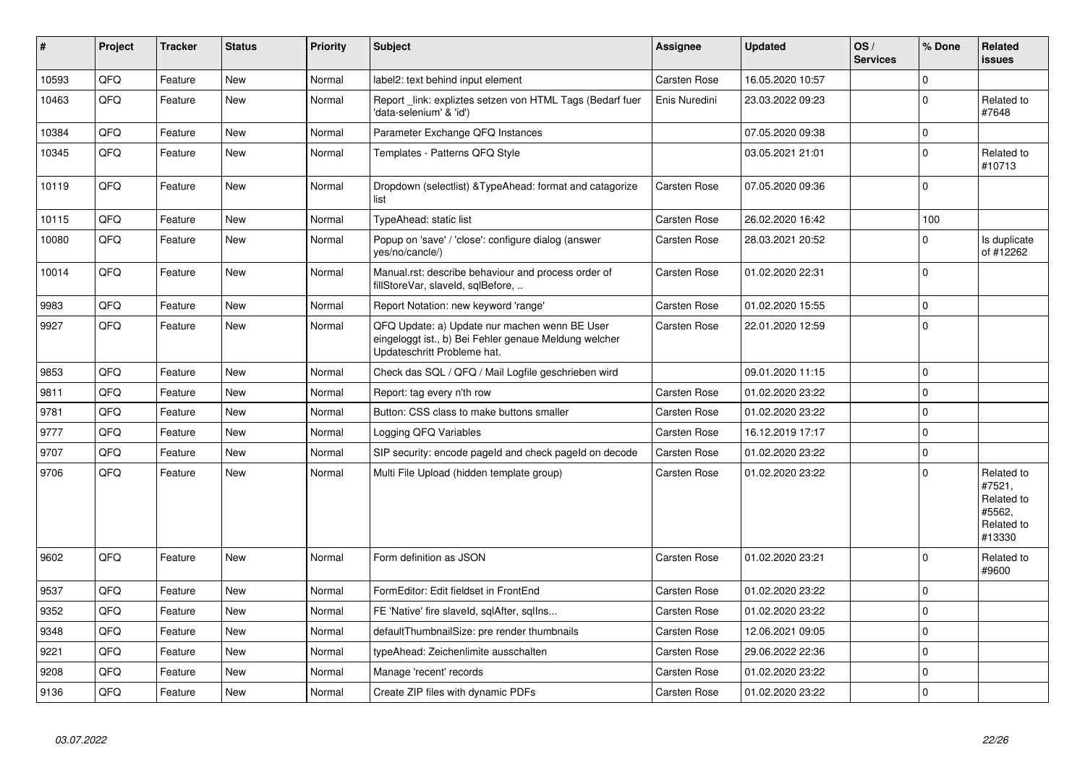| #     | Project | <b>Tracker</b> | <b>Status</b> | <b>Priority</b> | <b>Subject</b>                                                                                                                        | <b>Assignee</b>     | <b>Updated</b>   | OS/<br><b>Services</b> | % Done      | Related<br><b>issues</b>                                             |
|-------|---------|----------------|---------------|-----------------|---------------------------------------------------------------------------------------------------------------------------------------|---------------------|------------------|------------------------|-------------|----------------------------------------------------------------------|
| 10593 | QFQ     | Feature        | <b>New</b>    | Normal          | label2: text behind input element                                                                                                     | Carsten Rose        | 16.05.2020 10:57 |                        | $\Omega$    |                                                                      |
| 10463 | QFQ     | Feature        | New           | Normal          | Report link: expliztes setzen von HTML Tags (Bedarf fuer<br>'data-selenium' & 'id')                                                   | Enis Nuredini       | 23.03.2022 09:23 |                        | $\mathbf 0$ | Related to<br>#7648                                                  |
| 10384 | QFQ     | Feature        | New           | Normal          | Parameter Exchange QFQ Instances                                                                                                      |                     | 07.05.2020 09:38 |                        | $\mathbf 0$ |                                                                      |
| 10345 | QFQ     | Feature        | New           | Normal          | Templates - Patterns QFQ Style                                                                                                        |                     | 03.05.2021 21:01 |                        | $\mathbf 0$ | Related to<br>#10713                                                 |
| 10119 | QFQ     | Feature        | <b>New</b>    | Normal          | Dropdown (selectlist) & TypeAhead: format and catagorize<br>list                                                                      | Carsten Rose        | 07.05.2020 09:36 |                        | $\Omega$    |                                                                      |
| 10115 | QFQ     | Feature        | <b>New</b>    | Normal          | <b>TypeAhead: static list</b>                                                                                                         | <b>Carsten Rose</b> | 26.02.2020 16:42 |                        | 100         |                                                                      |
| 10080 | QFQ     | Feature        | <b>New</b>    | Normal          | Popup on 'save' / 'close': configure dialog (answer<br>yes/no/cancle/)                                                                | Carsten Rose        | 28.03.2021 20:52 |                        | $\Omega$    | Is duplicate<br>of #12262                                            |
| 10014 | QFQ     | Feature        | <b>New</b>    | Normal          | Manual.rst: describe behaviour and process order of<br>fillStoreVar, slaveId, sqlBefore,                                              | Carsten Rose        | 01.02.2020 22:31 |                        | $\Omega$    |                                                                      |
| 9983  | QFQ     | Feature        | <b>New</b>    | Normal          | Report Notation: new keyword 'range'                                                                                                  | Carsten Rose        | 01.02.2020 15:55 |                        | $\mathbf 0$ |                                                                      |
| 9927  | QFQ     | Feature        | New           | Normal          | QFQ Update: a) Update nur machen wenn BE User<br>eingeloggt ist., b) Bei Fehler genaue Meldung welcher<br>Updateschritt Probleme hat. | Carsten Rose        | 22.01.2020 12:59 |                        | $\Omega$    |                                                                      |
| 9853  | QFQ     | Feature        | <b>New</b>    | Normal          | Check das SQL / QFQ / Mail Logfile geschrieben wird                                                                                   |                     | 09.01.2020 11:15 |                        | $\mathbf 0$ |                                                                      |
| 9811  | QFQ     | Feature        | New           | Normal          | Report: tag every n'th row                                                                                                            | <b>Carsten Rose</b> | 01.02.2020 23:22 |                        | $\pmb{0}$   |                                                                      |
| 9781  | QFQ     | Feature        | <b>New</b>    | Normal          | Button: CSS class to make buttons smaller                                                                                             | Carsten Rose        | 01.02.2020 23:22 |                        | $\mathbf 0$ |                                                                      |
| 9777  | QFQ     | Feature        | <b>New</b>    | Normal          | Logging QFQ Variables                                                                                                                 | <b>Carsten Rose</b> | 16.12.2019 17:17 |                        | $\Omega$    |                                                                      |
| 9707  | QFQ     | Feature        | <b>New</b>    | Normal          | SIP security: encode pageld and check pageld on decode                                                                                | Carsten Rose        | 01.02.2020 23:22 |                        | $\pmb{0}$   |                                                                      |
| 9706  | QFQ     | Feature        | New           | Normal          | Multi File Upload (hidden template group)                                                                                             | Carsten Rose        | 01.02.2020 23:22 |                        | $\Omega$    | Related to<br>#7521,<br>Related to<br>#5562,<br>Related to<br>#13330 |
| 9602  | QFQ     | Feature        | New           | Normal          | Form definition as JSON                                                                                                               | <b>Carsten Rose</b> | 01.02.2020 23:21 |                        | $\mathbf 0$ | Related to<br>#9600                                                  |
| 9537  | QFQ     | Feature        | <b>New</b>    | Normal          | FormEditor: Edit fieldset in FrontEnd                                                                                                 | Carsten Rose        | 01.02.2020 23:22 |                        | $\mathbf 0$ |                                                                      |
| 9352  | QFQ     | Feature        | <b>New</b>    | Normal          | FE 'Native' fire slaveld, sqlAfter, sqlIns                                                                                            | Carsten Rose        | 01.02.2020 23:22 |                        | $\mathbf 0$ |                                                                      |
| 9348  | QFQ     | Feature        | New           | Normal          | defaultThumbnailSize: pre render thumbnails                                                                                           | <b>Carsten Rose</b> | 12.06.2021 09:05 |                        | $\pmb{0}$   |                                                                      |
| 9221  | QFQ     | Feature        | New           | Normal          | typeAhead: Zeichenlimite ausschalten                                                                                                  | Carsten Rose        | 29.06.2022 22:36 |                        | $\mathbf 0$ |                                                                      |
| 9208  | QFQ     | Feature        | New           | Normal          | Manage 'recent' records                                                                                                               | <b>Carsten Rose</b> | 01.02.2020 23:22 |                        | $\mathbf 0$ |                                                                      |
| 9136  | QFQ     | Feature        | New           | Normal          | Create ZIP files with dynamic PDFs                                                                                                    | Carsten Rose        | 01.02.2020 23:22 |                        | $\mathbf 0$ |                                                                      |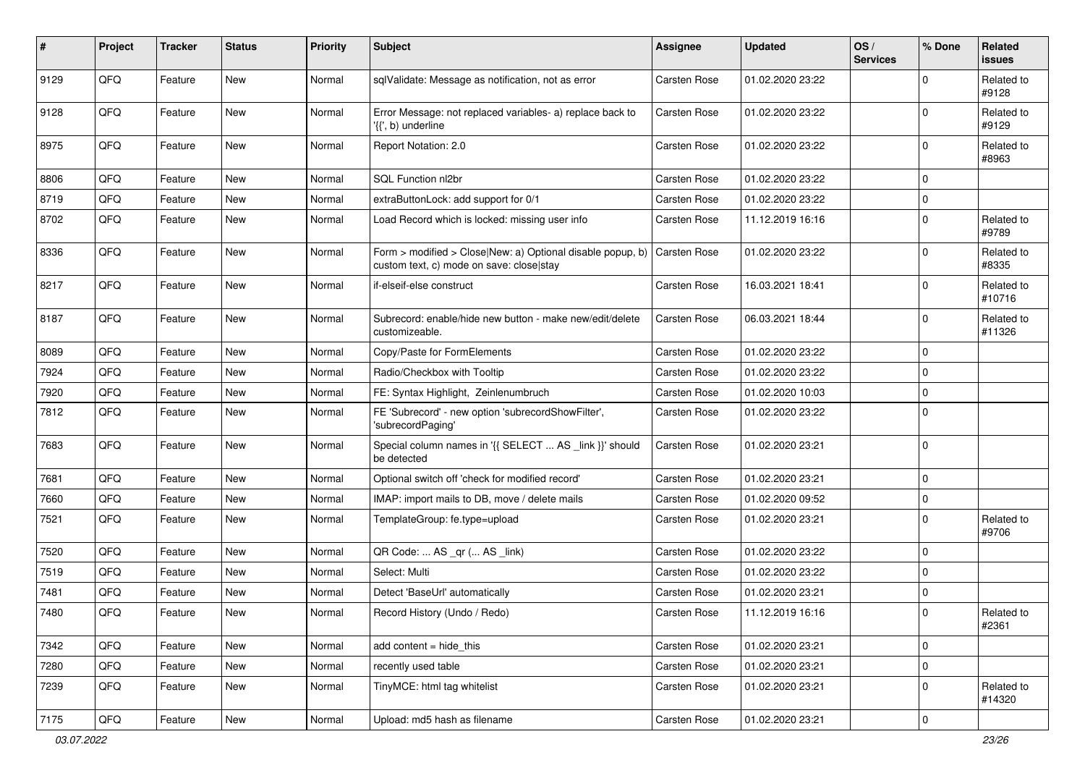| #    | Project | <b>Tracker</b> | <b>Status</b> | <b>Priority</b> | Subject                                                                                                | Assignee            | <b>Updated</b>   | OS/<br><b>Services</b> | % Done         | Related<br>issues    |
|------|---------|----------------|---------------|-----------------|--------------------------------------------------------------------------------------------------------|---------------------|------------------|------------------------|----------------|----------------------|
| 9129 | QFQ     | Feature        | <b>New</b>    | Normal          | sqlValidate: Message as notification, not as error                                                     | Carsten Rose        | 01.02.2020 23:22 |                        | $\Omega$       | Related to<br>#9128  |
| 9128 | QFQ     | Feature        | New           | Normal          | Error Message: not replaced variables- a) replace back to<br>'{{', b) underline                        | <b>Carsten Rose</b> | 01.02.2020 23:22 |                        | $\mathbf 0$    | Related to<br>#9129  |
| 8975 | QFQ     | Feature        | New           | Normal          | Report Notation: 2.0                                                                                   | Carsten Rose        | 01.02.2020 23:22 |                        | $\mathbf 0$    | Related to<br>#8963  |
| 8806 | QFQ     | Feature        | <b>New</b>    | Normal          | SQL Function nl2br                                                                                     | Carsten Rose        | 01.02.2020 23:22 |                        | $\mathbf 0$    |                      |
| 8719 | QFQ     | Feature        | New           | Normal          | extraButtonLock: add support for 0/1                                                                   | Carsten Rose        | 01.02.2020 23:22 |                        | 0              |                      |
| 8702 | QFQ     | Feature        | New           | Normal          | Load Record which is locked: missing user info                                                         | Carsten Rose        | 11.12.2019 16:16 |                        | $\mathbf 0$    | Related to<br>#9789  |
| 8336 | QFQ     | Feature        | New           | Normal          | Form > modified > Close New: a) Optional disable popup, b)<br>custom text, c) mode on save: close stay | Carsten Rose        | 01.02.2020 23:22 |                        | $\mathbf 0$    | Related to<br>#8335  |
| 8217 | QFQ     | Feature        | New           | Normal          | if-elseif-else construct                                                                               | Carsten Rose        | 16.03.2021 18:41 |                        | $\mathbf 0$    | Related to<br>#10716 |
| 8187 | QFQ     | Feature        | New           | Normal          | Subrecord: enable/hide new button - make new/edit/delete<br>customizeable.                             | Carsten Rose        | 06.03.2021 18:44 |                        | $\mathbf 0$    | Related to<br>#11326 |
| 8089 | QFQ     | Feature        | New           | Normal          | Copy/Paste for FormElements                                                                            | Carsten Rose        | 01.02.2020 23:22 |                        | $\mathbf 0$    |                      |
| 7924 | QFQ     | Feature        | New           | Normal          | Radio/Checkbox with Tooltip                                                                            | Carsten Rose        | 01.02.2020 23:22 |                        | 0              |                      |
| 7920 | QFQ     | Feature        | New           | Normal          | FE: Syntax Highlight, Zeinlenumbruch                                                                   | Carsten Rose        | 01.02.2020 10:03 |                        | $\mathbf 0$    |                      |
| 7812 | QFQ     | Feature        | New           | Normal          | FE 'Subrecord' - new option 'subrecordShowFilter',<br>'subrecordPaging'                                | Carsten Rose        | 01.02.2020 23:22 |                        | $\mathbf 0$    |                      |
| 7683 | QFQ     | Feature        | New           | Normal          | Special column names in '{{ SELECT  AS _link }}' should<br>be detected                                 | Carsten Rose        | 01.02.2020 23:21 |                        | $\mathbf 0$    |                      |
| 7681 | QFQ     | Feature        | <b>New</b>    | Normal          | Optional switch off 'check for modified record'                                                        | Carsten Rose        | 01.02.2020 23:21 |                        | $\mathbf 0$    |                      |
| 7660 | QFQ     | Feature        | New           | Normal          | IMAP: import mails to DB, move / delete mails                                                          | Carsten Rose        | 01.02.2020 09:52 |                        | $\mathbf 0$    |                      |
| 7521 | QFQ     | Feature        | New           | Normal          | TemplateGroup: fe.type=upload                                                                          | Carsten Rose        | 01.02.2020 23:21 |                        | $\mathbf 0$    | Related to<br>#9706  |
| 7520 | QFQ     | Feature        | <b>New</b>    | Normal          | QR Code:  AS _qr ( AS _link)                                                                           | Carsten Rose        | 01.02.2020 23:22 |                        | $\mathbf 0$    |                      |
| 7519 | QFQ     | Feature        | New           | Normal          | Select: Multi                                                                                          | <b>Carsten Rose</b> | 01.02.2020 23:22 |                        | $\mathbf 0$    |                      |
| 7481 | QFQ     | Feature        | New           | Normal          | Detect 'BaseUrl' automatically                                                                         | Carsten Rose        | 01.02.2020 23:21 |                        | $\mathbf 0$    |                      |
| 7480 | QFQ     | Feature        | New           | Normal          | Record History (Undo / Redo)                                                                           | Carsten Rose        | 11.12.2019 16:16 |                        | $\mathbf 0$    | Related to<br>#2361  |
| 7342 | QFQ     | Feature        | New           | Normal          | add content = hide_this                                                                                | Carsten Rose        | 01.02.2020 23:21 |                        | $\overline{0}$ |                      |
| 7280 | QFQ     | Feature        | New           | Normal          | recently used table                                                                                    | Carsten Rose        | 01.02.2020 23:21 |                        | $\mathbf 0$    |                      |
| 7239 | QFQ     | Feature        | New           | Normal          | TinyMCE: html tag whitelist                                                                            | Carsten Rose        | 01.02.2020 23:21 |                        | $\mathbf 0$    | Related to<br>#14320 |
| 7175 | QFQ     | Feature        | New           | Normal          | Upload: md5 hash as filename                                                                           | Carsten Rose        | 01.02.2020 23:21 |                        | $\,0\,$        |                      |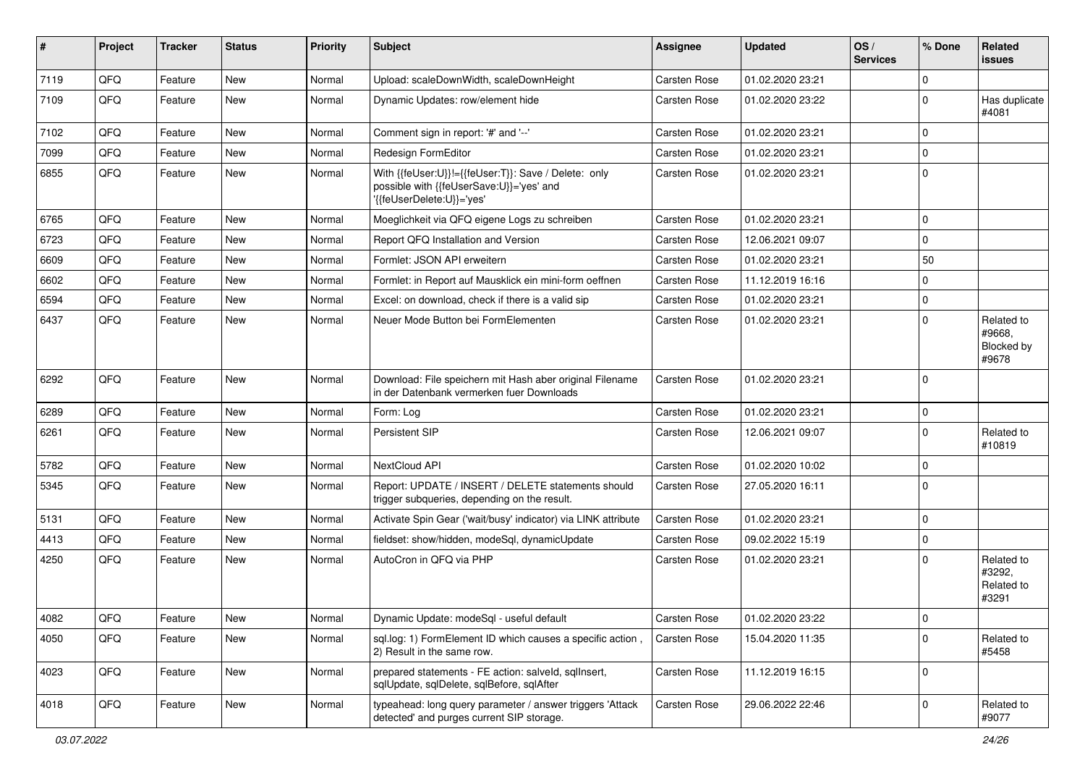| $\vert$ # | Project | <b>Tracker</b> | <b>Status</b> | <b>Priority</b> | Subject                                                                                                                      | Assignee            | <b>Updated</b>   | OS/<br><b>Services</b> | % Done      | Related<br>issues                           |
|-----------|---------|----------------|---------------|-----------------|------------------------------------------------------------------------------------------------------------------------------|---------------------|------------------|------------------------|-------------|---------------------------------------------|
| 7119      | QFQ     | Feature        | New           | Normal          | Upload: scaleDownWidth, scaleDownHeight                                                                                      | Carsten Rose        | 01.02.2020 23:21 |                        | $\Omega$    |                                             |
| 7109      | QFQ     | Feature        | New           | Normal          | Dynamic Updates: row/element hide                                                                                            | Carsten Rose        | 01.02.2020 23:22 |                        | $\mathbf 0$ | Has duplicate<br>#4081                      |
| 7102      | QFQ     | Feature        | New           | Normal          | Comment sign in report: '#' and '--'                                                                                         | Carsten Rose        | 01.02.2020 23:21 |                        | $\Omega$    |                                             |
| 7099      | QFQ     | Feature        | New           | Normal          | Redesign FormEditor                                                                                                          | Carsten Rose        | 01.02.2020 23:21 |                        | $\Omega$    |                                             |
| 6855      | QFQ     | Feature        | New           | Normal          | With {{feUser:U}}!={{feUser:T}}: Save / Delete: only<br>possible with {{feUserSave:U}}='yes' and<br>'{feUserDelete:U}}='yes' | Carsten Rose        | 01.02.2020 23:21 |                        | $\Omega$    |                                             |
| 6765      | QFQ     | Feature        | <b>New</b>    | Normal          | Moeglichkeit via QFQ eigene Logs zu schreiben                                                                                | <b>Carsten Rose</b> | 01.02.2020 23:21 |                        | $\Omega$    |                                             |
| 6723      | QFQ     | Feature        | New           | Normal          | Report QFQ Installation and Version                                                                                          | Carsten Rose        | 12.06.2021 09:07 |                        | $\mathbf 0$ |                                             |
| 6609      | QFQ     | Feature        | New           | Normal          | Formlet: JSON API erweitern                                                                                                  | Carsten Rose        | 01.02.2020 23:21 |                        | 50          |                                             |
| 6602      | QFQ     | Feature        | New           | Normal          | Formlet: in Report auf Mausklick ein mini-form oeffnen                                                                       | Carsten Rose        | 11.12.2019 16:16 |                        | $\Omega$    |                                             |
| 6594      | QFQ     | Feature        | New           | Normal          | Excel: on download, check if there is a valid sip                                                                            | Carsten Rose        | 01.02.2020 23:21 |                        | $\Omega$    |                                             |
| 6437      | QFQ     | Feature        | New           | Normal          | Neuer Mode Button bei FormElementen                                                                                          | Carsten Rose        | 01.02.2020 23:21 |                        | $\Omega$    | Related to<br>#9668,<br>Blocked by<br>#9678 |
| 6292      | QFQ     | Feature        | New           | Normal          | Download: File speichern mit Hash aber original Filename<br>in der Datenbank vermerken fuer Downloads                        | Carsten Rose        | 01.02.2020 23:21 |                        | $\Omega$    |                                             |
| 6289      | QFQ     | Feature        | <b>New</b>    | Normal          | Form: Log                                                                                                                    | Carsten Rose        | 01.02.2020 23:21 |                        | $\Omega$    |                                             |
| 6261      | QFQ     | Feature        | New           | Normal          | Persistent SIP                                                                                                               | Carsten Rose        | 12.06.2021 09:07 |                        | $\mathbf 0$ | Related to<br>#10819                        |
| 5782      | QFQ     | Feature        | New           | Normal          | NextCloud API                                                                                                                | <b>Carsten Rose</b> | 01.02.2020 10:02 |                        | $\Omega$    |                                             |
| 5345      | QFQ     | Feature        | New           | Normal          | Report: UPDATE / INSERT / DELETE statements should<br>trigger subqueries, depending on the result.                           | Carsten Rose        | 27.05.2020 16:11 |                        | $\Omega$    |                                             |
| 5131      | QFQ     | Feature        | New           | Normal          | Activate Spin Gear ('wait/busy' indicator) via LINK attribute                                                                | Carsten Rose        | 01.02.2020 23:21 |                        | $\mathbf 0$ |                                             |
| 4413      | QFQ     | Feature        | New           | Normal          | fieldset: show/hidden, modeSql, dynamicUpdate                                                                                | Carsten Rose        | 09.02.2022 15:19 |                        | $\mathbf 0$ |                                             |
| 4250      | QFQ     | Feature        | New           | Normal          | AutoCron in QFQ via PHP                                                                                                      | Carsten Rose        | 01.02.2020 23:21 |                        | $\Omega$    | Related to<br>#3292.<br>Related to<br>#3291 |
| 4082      | QFQ     | Feature        | New           | Normal          | Dynamic Update: modeSql - useful default                                                                                     | Carsten Rose        | 01.02.2020 23:22 |                        | $\mathbf 0$ |                                             |
| 4050      | QFQ     | Feature        | New           | Normal          | sql.log: 1) FormElement ID which causes a specific action,<br>2) Result in the same row.                                     | Carsten Rose        | 15.04.2020 11:35 |                        | $\mathbf 0$ | Related to<br>#5458                         |
| 4023      | QFQ     | Feature        | New           | Normal          | prepared statements - FE action: salveld, sqllnsert,<br>sqlUpdate, sqlDelete, sqlBefore, sqlAfter                            | Carsten Rose        | 11.12.2019 16:15 |                        | 0           |                                             |
| 4018      | QFQ     | Feature        | New           | Normal          | typeahead: long query parameter / answer triggers 'Attack<br>detected' and purges current SIP storage.                       | Carsten Rose        | 29.06.2022 22:46 |                        | $\pmb{0}$   | Related to<br>#9077                         |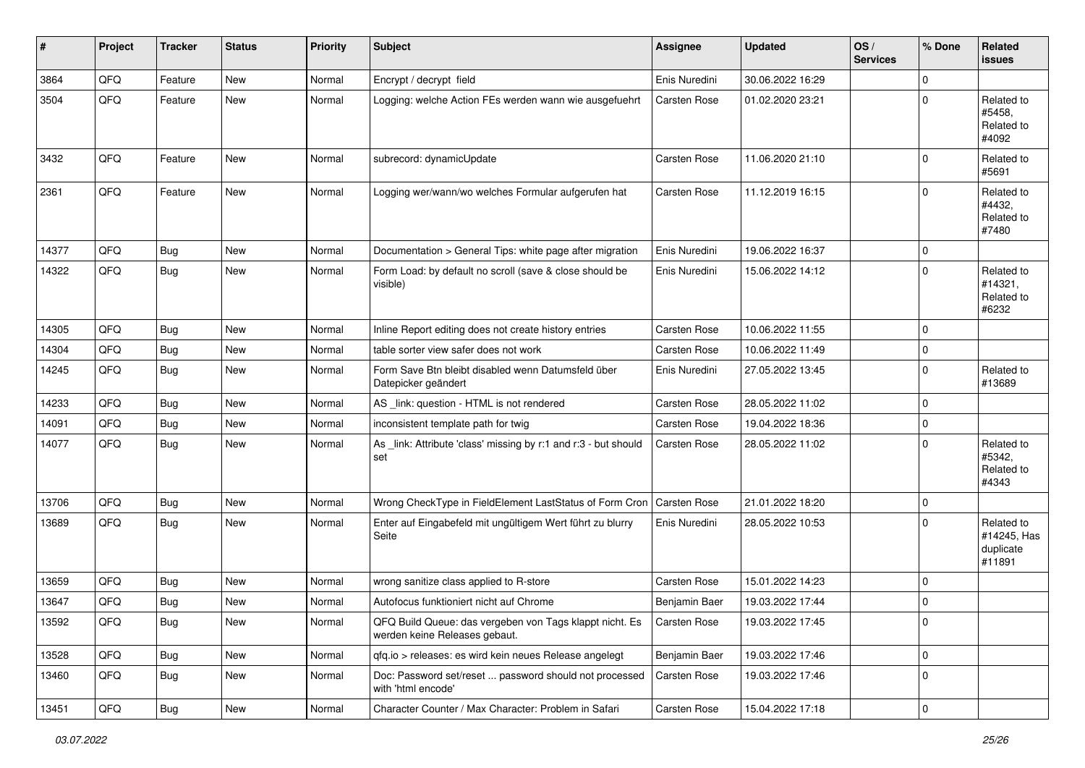| $\sharp$ | Project | <b>Tracker</b> | <b>Status</b> | Priority | Subject                                                                                  | <b>Assignee</b>     | <b>Updated</b>   | OS/<br><b>Services</b> | % Done       | <b>Related</b><br>issues                         |
|----------|---------|----------------|---------------|----------|------------------------------------------------------------------------------------------|---------------------|------------------|------------------------|--------------|--------------------------------------------------|
| 3864     | QFQ     | Feature        | <b>New</b>    | Normal   | Encrypt / decrypt field                                                                  | Enis Nuredini       | 30.06.2022 16:29 |                        | $\Omega$     |                                                  |
| 3504     | QFQ     | Feature        | <b>New</b>    | Normal   | Logging: welche Action FEs werden wann wie ausgefuehrt                                   | Carsten Rose        | 01.02.2020 23:21 |                        | $\mathbf{0}$ | Related to<br>#5458,<br>Related to<br>#4092      |
| 3432     | QFQ     | Feature        | New           | Normal   | subrecord: dynamicUpdate                                                                 | Carsten Rose        | 11.06.2020 21:10 |                        | $\Omega$     | Related to<br>#5691                              |
| 2361     | QFQ     | Feature        | <b>New</b>    | Normal   | Logging wer/wann/wo welches Formular aufgerufen hat                                      | Carsten Rose        | 11.12.2019 16:15 |                        | $\mathbf 0$  | Related to<br>#4432.<br>Related to<br>#7480      |
| 14377    | QFQ     | Bug            | New           | Normal   | Documentation > General Tips: white page after migration                                 | Enis Nuredini       | 19.06.2022 16:37 |                        | $\mathbf 0$  |                                                  |
| 14322    | QFQ     | <b>Bug</b>     | <b>New</b>    | Normal   | Form Load: by default no scroll (save & close should be<br>visible)                      | Enis Nuredini       | 15.06.2022 14:12 |                        | $\Omega$     | Related to<br>#14321,<br>Related to<br>#6232     |
| 14305    | QFQ     | <b>Bug</b>     | <b>New</b>    | Normal   | Inline Report editing does not create history entries                                    | Carsten Rose        | 10.06.2022 11:55 |                        | $\mathbf 0$  |                                                  |
| 14304    | QFQ     | <b>Bug</b>     | New           | Normal   | table sorter view safer does not work                                                    | <b>Carsten Rose</b> | 10.06.2022 11:49 |                        | $\mathbf 0$  |                                                  |
| 14245    | QFQ     | Bug            | <b>New</b>    | Normal   | Form Save Btn bleibt disabled wenn Datumsfeld über<br>Datepicker geändert                | Enis Nuredini       | 27.05.2022 13:45 |                        | $\mathbf 0$  | Related to<br>#13689                             |
| 14233    | QFQ     | Bug            | New           | Normal   | AS link: question - HTML is not rendered                                                 | Carsten Rose        | 28.05.2022 11:02 |                        | $\mathbf 0$  |                                                  |
| 14091    | QFQ     | <b>Bug</b>     | New           | Normal   | inconsistent template path for twig                                                      | Carsten Rose        | 19.04.2022 18:36 |                        | $\mathbf 0$  |                                                  |
| 14077    | QFQ     | <b>Bug</b>     | <b>New</b>    | Normal   | As _link: Attribute 'class' missing by r:1 and r:3 - but should<br>set                   | <b>Carsten Rose</b> | 28.05.2022 11:02 |                        | $\mathbf 0$  | Related to<br>#5342,<br>Related to<br>#4343      |
| 13706    | QFQ     | <b>Bug</b>     | New           | Normal   | Wrong CheckType in FieldElement LastStatus of Form Cron                                  | Carsten Rose        | 21.01.2022 18:20 |                        | $\mathbf 0$  |                                                  |
| 13689    | QFQ     | <b>Bug</b>     | <b>New</b>    | Normal   | Enter auf Eingabefeld mit ungültigem Wert führt zu blurry<br>Seite                       | Enis Nuredini       | 28.05.2022 10:53 |                        | $\Omega$     | Related to<br>#14245, Has<br>duplicate<br>#11891 |
| 13659    | QFQ     | <b>Bug</b>     | New           | Normal   | wrong sanitize class applied to R-store                                                  | Carsten Rose        | 15.01.2022 14:23 |                        | $\mathbf 0$  |                                                  |
| 13647    | QFQ     | <b>Bug</b>     | <b>New</b>    | Normal   | Autofocus funktioniert nicht auf Chrome                                                  | Benjamin Baer       | 19.03.2022 17:44 |                        | $\mathbf 0$  |                                                  |
| 13592    | QFQ     | Bug            | New           | Normal   | QFQ Build Queue: das vergeben von Tags klappt nicht. Es<br>werden keine Releases gebaut. | <b>Carsten Rose</b> | 19.03.2022 17:45 |                        | $\mathbf 0$  |                                                  |
| 13528    | QFQ     | <b>Bug</b>     | New           | Normal   | qfq.io > releases: es wird kein neues Release angelegt                                   | Benjamin Baer       | 19.03.2022 17:46 |                        | $\mathbf 0$  |                                                  |
| 13460    | QFQ     | Bug            | New           | Normal   | Doc: Password set/reset  password should not processed<br>with 'html encode'             | Carsten Rose        | 19.03.2022 17:46 |                        | $\mathbf 0$  |                                                  |
| 13451    | QFQ     | <b>Bug</b>     | New           | Normal   | Character Counter / Max Character: Problem in Safari                                     | Carsten Rose        | 15.04.2022 17:18 |                        | $\mathbf 0$  |                                                  |